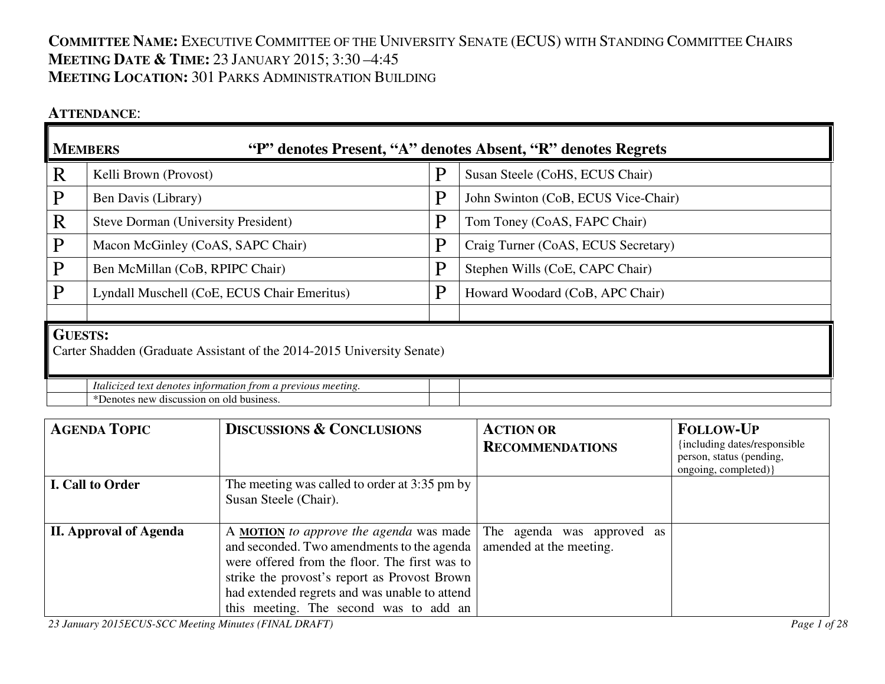# **COMMITTEE NAME:** <sup>E</sup>XECUTIVE COMMITTEE OF THE UNIVERSITY SENATE (ECUS) WITH STANDING COMMITTEE CHAIRS**MEETING DATE & <sup>T</sup>IME:** <sup>23</sup> <sup>J</sup>ANUARY 2015; 3:30 –4:45 **MEETING LOCATION:** <sup>301</sup> <sup>P</sup>ARKS ADMINISTRATION BUILDING

### **ATTENDANCE**:

|                                                                                          | <b>MEMBERS</b><br>"P" denotes Present, "A" denotes Absent, "R" denotes Regrets |   |                                     |  |
|------------------------------------------------------------------------------------------|--------------------------------------------------------------------------------|---|-------------------------------------|--|
| R                                                                                        | Kelli Brown (Provost)                                                          | P | Susan Steele (CoHS, ECUS Chair)     |  |
| P                                                                                        | Ben Davis (Library)                                                            | P | John Swinton (CoB, ECUS Vice-Chair) |  |
| R                                                                                        | Steve Dorman (University President)                                            | P | Tom Toney (CoAS, FAPC Chair)        |  |
| P                                                                                        | Macon McGinley (CoAS, SAPC Chair)                                              | P | Craig Turner (CoAS, ECUS Secretary) |  |
| P                                                                                        | Ben McMillan (CoB, RPIPC Chair)                                                | P | Stephen Wills (CoE, CAPC Chair)     |  |
| P                                                                                        | Lyndall Muschell (CoE, ECUS Chair Emeritus)                                    | P | Howard Woodard (CoB, APC Chair)     |  |
|                                                                                          |                                                                                |   |                                     |  |
| <b>GUESTS:</b><br>Carter Shadden (Graduate Assistant of the 2014-2015 University Senate) |                                                                                |   |                                     |  |
|                                                                                          | Italicized text denotes information from a previous meeting.                   |   |                                     |  |
|                                                                                          | *Denotes new discussion on old business.                                       |   |                                     |  |

| <b>AGENDA TOPIC</b>           | <b>DISCUSSIONS &amp; CONCLUSIONS</b>                               | <b>ACTION OR</b>        | <b>FOLLOW-UP</b>                                         |
|-------------------------------|--------------------------------------------------------------------|-------------------------|----------------------------------------------------------|
|                               |                                                                    | <b>RECOMMENDATIONS</b>  | {including dates/responsible<br>person, status (pending, |
|                               |                                                                    |                         | ongoing, completed) }                                    |
| I. Call to Order              | The meeting was called to order at 3:35 pm by                      |                         |                                                          |
|                               | Susan Steele (Chair).                                              |                         |                                                          |
|                               |                                                                    |                         |                                                          |
| <b>II. Approval of Agenda</b> | A MOTION to approve the agenda was made The agenda was approved as |                         |                                                          |
|                               | and seconded. Two amendments to the agenda                         | amended at the meeting. |                                                          |
|                               | were offered from the floor. The first was to                      |                         |                                                          |
|                               | strike the provost's report as Provost Brown                       |                         |                                                          |
|                               | had extended regrets and was unable to attend                      |                         |                                                          |
|                               | this meeting. The second was to add an                             |                         |                                                          |

*23 January 2015ECUS-SCC Meeting Minutes (FINAL DRAFT) Page 1 of 28*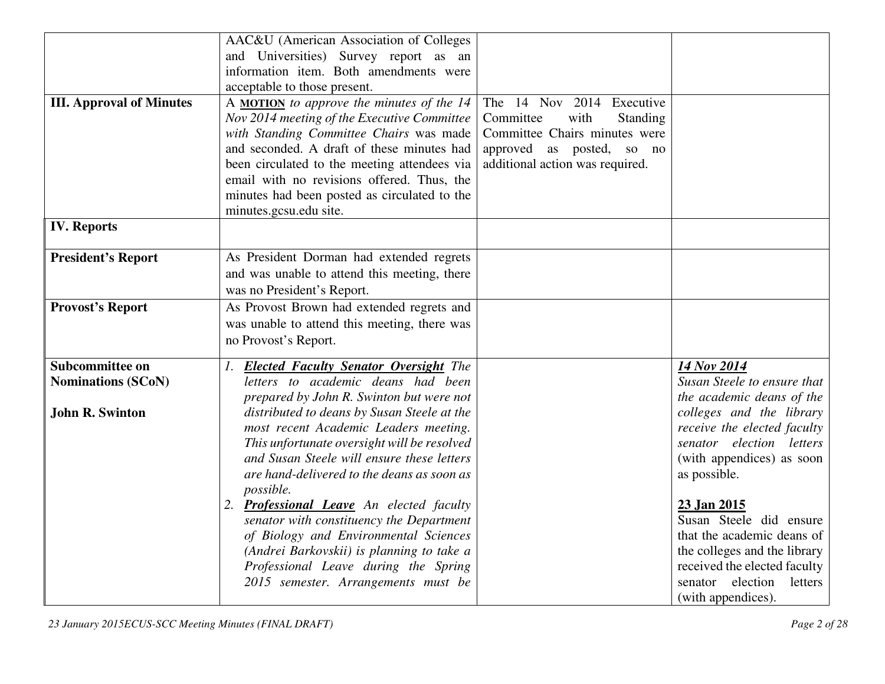|                                 | AAC&U (American Association of Colleges      |                                 |                              |
|---------------------------------|----------------------------------------------|---------------------------------|------------------------------|
|                                 | and Universities) Survey report as an        |                                 |                              |
|                                 | information item. Both amendments were       |                                 |                              |
|                                 | acceptable to those present.                 |                                 |                              |
| <b>III. Approval of Minutes</b> | A MOTION to approve the minutes of the 14    | The 14 Nov 2014 Executive       |                              |
|                                 | Nov 2014 meeting of the Executive Committee  | Committee<br>with<br>Standing   |                              |
|                                 | with Standing Committee Chairs was made      | Committee Chairs minutes were   |                              |
|                                 | and seconded. A draft of these minutes had   | approved as posted, so no       |                              |
|                                 | been circulated to the meeting attendees via | additional action was required. |                              |
|                                 | email with no revisions offered. Thus, the   |                                 |                              |
|                                 | minutes had been posted as circulated to the |                                 |                              |
|                                 | minutes.gcsu.edu site.                       |                                 |                              |
| <b>IV.</b> Reports              |                                              |                                 |                              |
|                                 |                                              |                                 |                              |
| <b>President's Report</b>       | As President Dorman had extended regrets     |                                 |                              |
|                                 | and was unable to attend this meeting, there |                                 |                              |
|                                 | was no President's Report.                   |                                 |                              |
| <b>Provost's Report</b>         | As Provost Brown had extended regrets and    |                                 |                              |
|                                 | was unable to attend this meeting, there was |                                 |                              |
|                                 | no Provost's Report.                         |                                 |                              |
| Subcommittee on                 | 1. Elected Faculty Senator Oversight The     |                                 | 14 Nov 2014                  |
| <b>Nominations (SCoN)</b>       | letters to academic deans had been           |                                 | Susan Steele to ensure that  |
|                                 | prepared by John R. Swinton but were not     |                                 | the academic deans of the    |
| <b>John R. Swinton</b>          | distributed to deans by Susan Steele at the  |                                 | colleges and the library     |
|                                 | most recent Academic Leaders meeting.        |                                 | receive the elected faculty  |
|                                 | This unfortunate oversight will be resolved  |                                 | senator election letters     |
|                                 | and Susan Steele will ensure these letters   |                                 | (with appendices) as soon    |
|                                 | are hand-delivered to the deans as soon as   |                                 | as possible.                 |
|                                 | possible.                                    |                                 |                              |
|                                 | 2. Professional Leave An elected faculty     |                                 | 23 Jan 2015                  |
|                                 | senator with constituency the Department     |                                 | Susan Steele did ensure      |
|                                 | of Biology and Environmental Sciences        |                                 | that the academic deans of   |
|                                 | (Andrei Barkovskii) is planning to take a    |                                 | the colleges and the library |
|                                 | Professional Leave during the Spring         |                                 | received the elected faculty |
|                                 | 2015 semester. Arrangements must be          |                                 | senator election<br>letters  |
|                                 |                                              |                                 | (with appendices).           |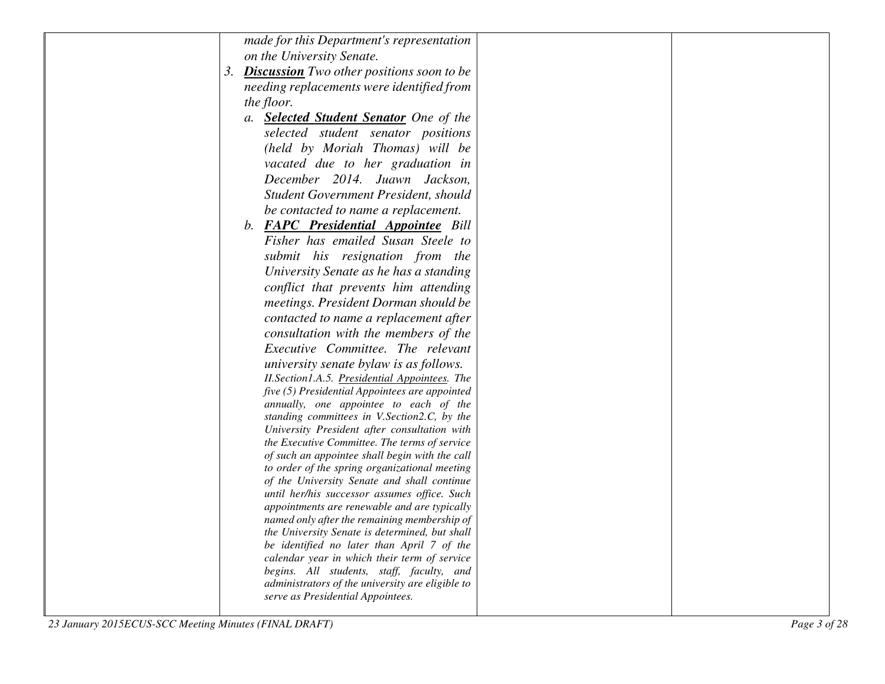|    | made for this Department's representation                                                   |  |
|----|---------------------------------------------------------------------------------------------|--|
|    | on the University Senate.                                                                   |  |
| 3. | <b>Discussion</b> Two other positions soon to be                                            |  |
|    | needing replacements were identified from                                                   |  |
|    | the floor.                                                                                  |  |
|    | a. <b>Selected Student Senator</b> One of the                                               |  |
|    | selected student senator positions                                                          |  |
|    | (held by Moriah Thomas) will be                                                             |  |
|    | vacated due to her graduation in                                                            |  |
|    | December 2014. Juawn Jackson,                                                               |  |
|    | Student Government President, should                                                        |  |
|    | be contacted to name a replacement.                                                         |  |
|    | b. <b>FAPC Presidential Appointee</b> Bill                                                  |  |
|    | Fisher has emailed Susan Steele to                                                          |  |
|    | submit his resignation from the                                                             |  |
|    | University Senate as he has a standing                                                      |  |
|    | conflict that prevents him attending                                                        |  |
|    | meetings. President Dorman should be                                                        |  |
|    | contacted to name a replacement after                                                       |  |
|    | consultation with the members of the                                                        |  |
|    | Executive Committee. The relevant                                                           |  |
|    | university senate bylaw is as follows.                                                      |  |
|    | II. Section 1.A.5. Presidential Appointees. The                                             |  |
|    | five (5) Presidential Appointees are appointed                                              |  |
|    | annually, one appointee to each of the<br>standing committees in V.Section2.C, by the       |  |
|    | University President after consultation with                                                |  |
|    | the Executive Committee. The terms of service                                               |  |
|    | of such an appointee shall begin with the call                                              |  |
|    | to order of the spring organizational meeting                                               |  |
|    | of the University Senate and shall continue<br>until her/his successor assumes office. Such |  |
|    | appointments are renewable and are typically                                                |  |
|    | named only after the remaining membership of                                                |  |
|    | the University Senate is determined, but shall                                              |  |
|    | be identified no later than April 7 of the                                                  |  |
|    | calendar year in which their term of service<br>begins. All students, staff, faculty, and   |  |
|    | administrators of the university are eligible to                                            |  |
|    | serve as Presidential Appointees.                                                           |  |
|    |                                                                                             |  |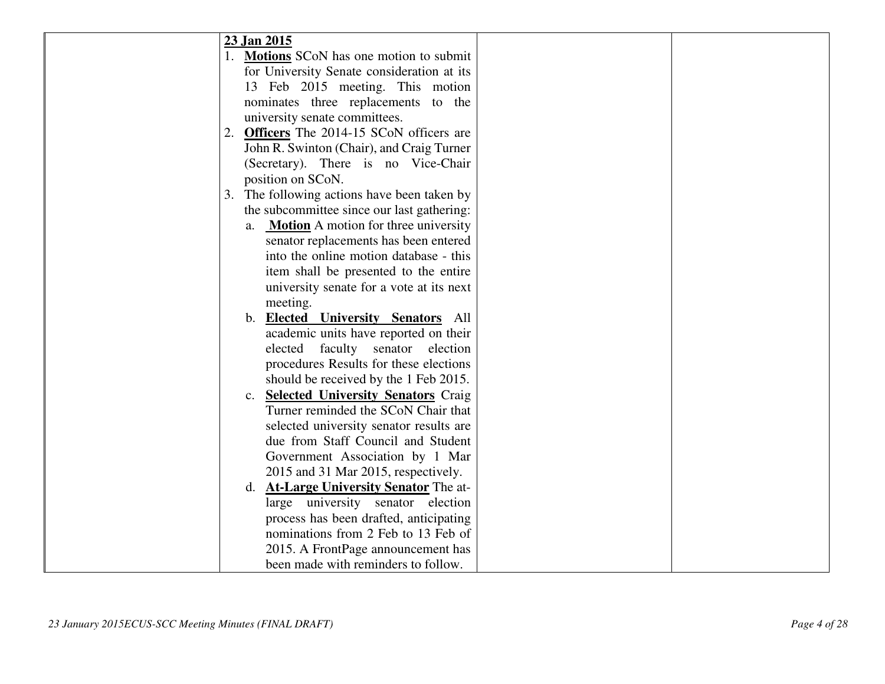| 23 Jan 2015                                       |  |
|---------------------------------------------------|--|
| 1. <b>Motions</b> SCoN has one motion to submit   |  |
| for University Senate consideration at its        |  |
| 13 Feb 2015 meeting. This motion                  |  |
| nominates three replacements to the               |  |
| university senate committees.                     |  |
| 2. Officers The 2014-15 SCoN officers are         |  |
| John R. Swinton (Chair), and Craig Turner         |  |
| (Secretary). There is no Vice-Chair               |  |
| position on SCoN.                                 |  |
| 3. The following actions have been taken by       |  |
| the subcommittee since our last gathering:        |  |
| <b>Motion</b> A motion for three university<br>a. |  |
| senator replacements has been entered             |  |
| into the online motion database - this            |  |
| item shall be presented to the entire             |  |
| university senate for a vote at its next          |  |
| meeting.                                          |  |
| b. <b>Elected University Senators</b> All         |  |
| academic units have reported on their             |  |
| elected<br>faculty<br>senator<br>election         |  |
| procedures Results for these elections            |  |
| should be received by the 1 Feb 2015.             |  |
| <b>Selected University Senators Craig</b><br>c.   |  |
| Turner reminded the SCoN Chair that               |  |
| selected university senator results are           |  |
| due from Staff Council and Student                |  |
| Government Association by 1 Mar                   |  |
| 2015 and 31 Mar 2015, respectively.               |  |
| d. <b>At-Large University Senator</b> The at-     |  |
| large university senator election                 |  |
| process has been drafted, anticipating            |  |
| nominations from 2 Feb to 13 Feb of               |  |
| 2015. A FrontPage announcement has                |  |
| been made with reminders to follow.               |  |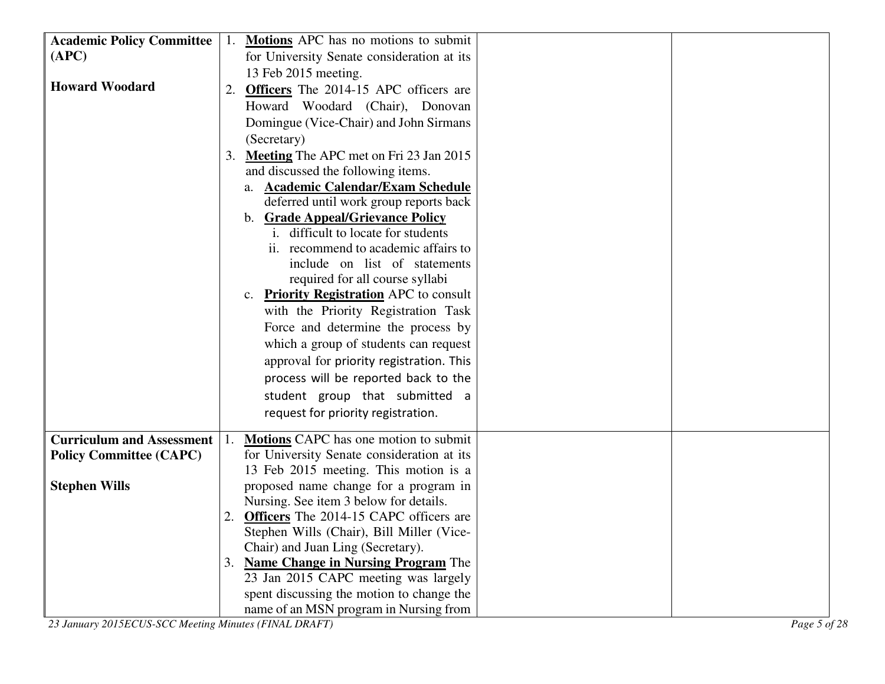| <b>Academic Policy Committee</b> | 1. Motions APC has no motions to submit                                                |  |
|----------------------------------|----------------------------------------------------------------------------------------|--|
| (APC)                            | for University Senate consideration at its                                             |  |
|                                  | 13 Feb 2015 meeting.                                                                   |  |
| <b>Howard Woodard</b>            | <b>Officers</b> The 2014-15 APC officers are<br>2.                                     |  |
|                                  | Howard Woodard (Chair), Donovan                                                        |  |
|                                  |                                                                                        |  |
|                                  | Domingue (Vice-Chair) and John Sirmans                                                 |  |
|                                  | (Secretary)                                                                            |  |
|                                  | <b>Meeting</b> The APC met on Fri 23 Jan 2015<br>3.                                    |  |
|                                  | and discussed the following items.                                                     |  |
|                                  | <b>Academic Calendar/Exam Schedule</b><br>a.<br>deferred until work group reports back |  |
|                                  | b. Grade Appeal/Grievance Policy                                                       |  |
|                                  | i. difficult to locate for students                                                    |  |
|                                  | ii. recommend to academic affairs to                                                   |  |
|                                  | include on list of statements                                                          |  |
|                                  | required for all course syllabi                                                        |  |
|                                  | c. <b>Priority Registration</b> APC to consult                                         |  |
|                                  | with the Priority Registration Task                                                    |  |
|                                  | Force and determine the process by                                                     |  |
|                                  | which a group of students can request                                                  |  |
|                                  | approval for priority registration. This                                               |  |
|                                  |                                                                                        |  |
|                                  | process will be reported back to the                                                   |  |
|                                  | student group that submitted a                                                         |  |
|                                  | request for priority registration.                                                     |  |
| <b>Curriculum and Assessment</b> | <b>Motions</b> CAPC has one motion to submit                                           |  |
| <b>Policy Committee (CAPC)</b>   | for University Senate consideration at its                                             |  |
|                                  | 13 Feb 2015 meeting. This motion is a                                                  |  |
| <b>Stephen Wills</b>             | proposed name change for a program in                                                  |  |
|                                  | Nursing. See item 3 below for details.                                                 |  |
|                                  | 2. Officers The 2014-15 CAPC officers are                                              |  |
|                                  | Stephen Wills (Chair), Bill Miller (Vice-                                              |  |
|                                  | Chair) and Juan Ling (Secretary).                                                      |  |
|                                  | 3. Name Change in Nursing Program The                                                  |  |
|                                  | 23 Jan 2015 CAPC meeting was largely                                                   |  |
|                                  | spent discussing the motion to change the                                              |  |
|                                  | name of an MSN program in Nursing from                                                 |  |

*23 January 2015ECUS-SCC Meeting Minutes (FINAL DRAFT) Page 5 of 28*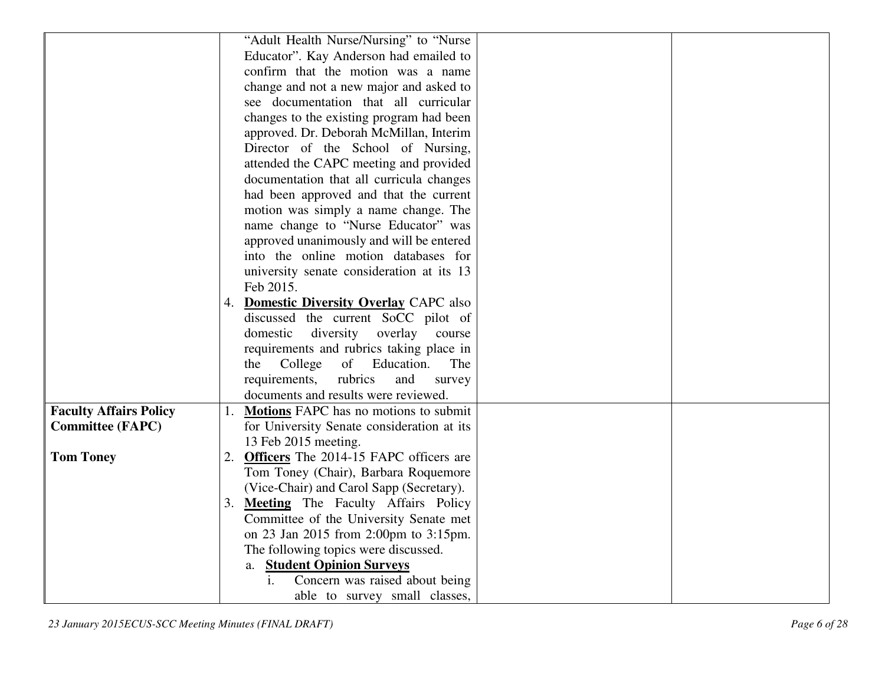| "Adult Health Nurse/Nursing" to "Nurse<br>Educator". Kay Anderson had emailed to<br>confirm that the motion was a name<br>change and not a new major and asked to<br>see documentation that all curricular<br>changes to the existing program had been<br>approved. Dr. Deborah McMillan, Interim |
|---------------------------------------------------------------------------------------------------------------------------------------------------------------------------------------------------------------------------------------------------------------------------------------------------|
|                                                                                                                                                                                                                                                                                                   |
|                                                                                                                                                                                                                                                                                                   |
|                                                                                                                                                                                                                                                                                                   |
|                                                                                                                                                                                                                                                                                                   |
|                                                                                                                                                                                                                                                                                                   |
|                                                                                                                                                                                                                                                                                                   |
| Director of the School of Nursing,                                                                                                                                                                                                                                                                |
| attended the CAPC meeting and provided                                                                                                                                                                                                                                                            |
| documentation that all curricula changes                                                                                                                                                                                                                                                          |
| had been approved and that the current                                                                                                                                                                                                                                                            |
| motion was simply a name change. The                                                                                                                                                                                                                                                              |
| name change to "Nurse Educator" was                                                                                                                                                                                                                                                               |
| approved unanimously and will be entered                                                                                                                                                                                                                                                          |
| into the online motion databases for                                                                                                                                                                                                                                                              |
| university senate consideration at its 13                                                                                                                                                                                                                                                         |
| Feb 2015.                                                                                                                                                                                                                                                                                         |
| 4. Domestic Diversity Overlay CAPC also                                                                                                                                                                                                                                                           |
| discussed the current SoCC pilot of                                                                                                                                                                                                                                                               |
| domestic<br>diversity<br>overlay course                                                                                                                                                                                                                                                           |
| requirements and rubrics taking place in                                                                                                                                                                                                                                                          |
| College<br>of<br>Education.<br>the<br>The                                                                                                                                                                                                                                                         |
| requirements,<br>rubrics<br>and<br>survey                                                                                                                                                                                                                                                         |
| documents and results were reviewed.                                                                                                                                                                                                                                                              |
| <b>Faculty Affairs Policy</b><br>1. Motions FAPC has no motions to submit                                                                                                                                                                                                                         |
| for University Senate consideration at its<br><b>Committee (FAPC)</b>                                                                                                                                                                                                                             |
| 13 Feb 2015 meeting.                                                                                                                                                                                                                                                                              |
| <b>Tom Toney</b><br>2. Officers The 2014-15 FAPC officers are                                                                                                                                                                                                                                     |
| Tom Toney (Chair), Barbara Roquemore                                                                                                                                                                                                                                                              |
| (Vice-Chair) and Carol Sapp (Secretary).                                                                                                                                                                                                                                                          |
| 3. Meeting The Faculty Affairs Policy                                                                                                                                                                                                                                                             |
| Committee of the University Senate met                                                                                                                                                                                                                                                            |
| on 23 Jan 2015 from 2:00pm to 3:15pm.                                                                                                                                                                                                                                                             |
| The following topics were discussed.                                                                                                                                                                                                                                                              |
| <b>Student Opinion Surveys</b><br>a.<br>i.<br>Concern was raised about being                                                                                                                                                                                                                      |
| able to survey small classes,                                                                                                                                                                                                                                                                     |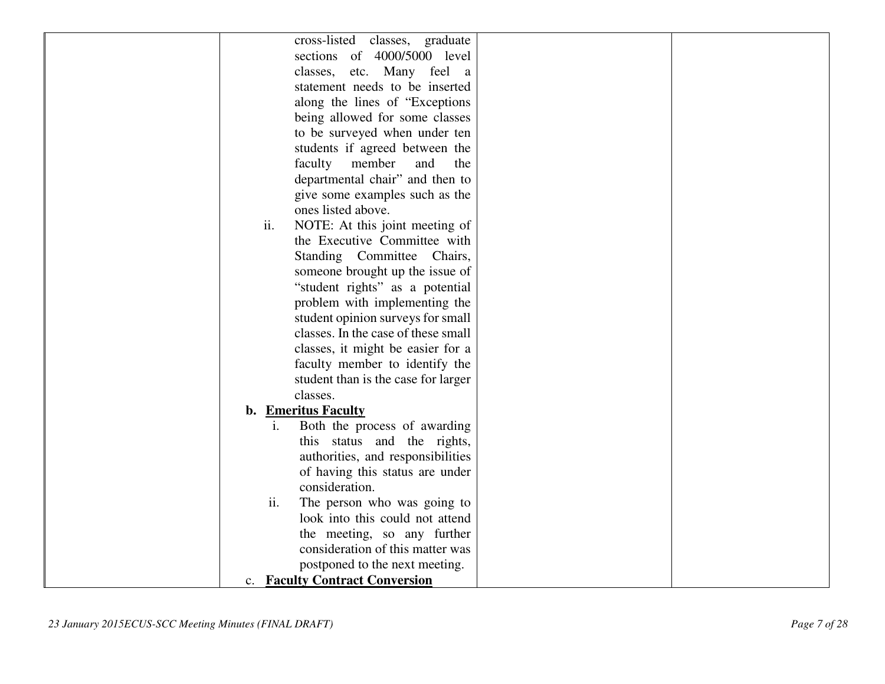| cross-listed classes, graduate                 |
|------------------------------------------------|
| sections of 4000/5000 level                    |
| classes, etc. Many feel a                      |
| statement needs to be inserted                 |
| along the lines of "Exceptions"                |
| being allowed for some classes                 |
| to be surveyed when under ten                  |
| students if agreed between the                 |
| faculty member<br>and<br>the                   |
| departmental chair" and then to                |
| give some examples such as the                 |
| ones listed above.                             |
| ii.<br>NOTE: At this joint meeting of          |
| the Executive Committee with                   |
| Standing Committee Chairs,                     |
| someone brought up the issue of                |
| "student rights" as a potential                |
| problem with implementing the                  |
| student opinion surveys for small              |
| classes. In the case of these small            |
| classes, it might be easier for a              |
| faculty member to identify the                 |
| student than is the case for larger            |
| classes.                                       |
| b. Emeritus Faculty                            |
| Both the process of awarding<br>$\mathbf{i}$ . |
| this status and the rights,                    |
| authorities, and responsibilities              |
| of having this status are under                |
| consideration.                                 |
| The person who was going to<br>ii.             |
| look into this could not attend                |
| the meeting, so any further                    |
| consideration of this matter was               |
| postponed to the next meeting.                 |
|                                                |
| c. Faculty Contract Conversion                 |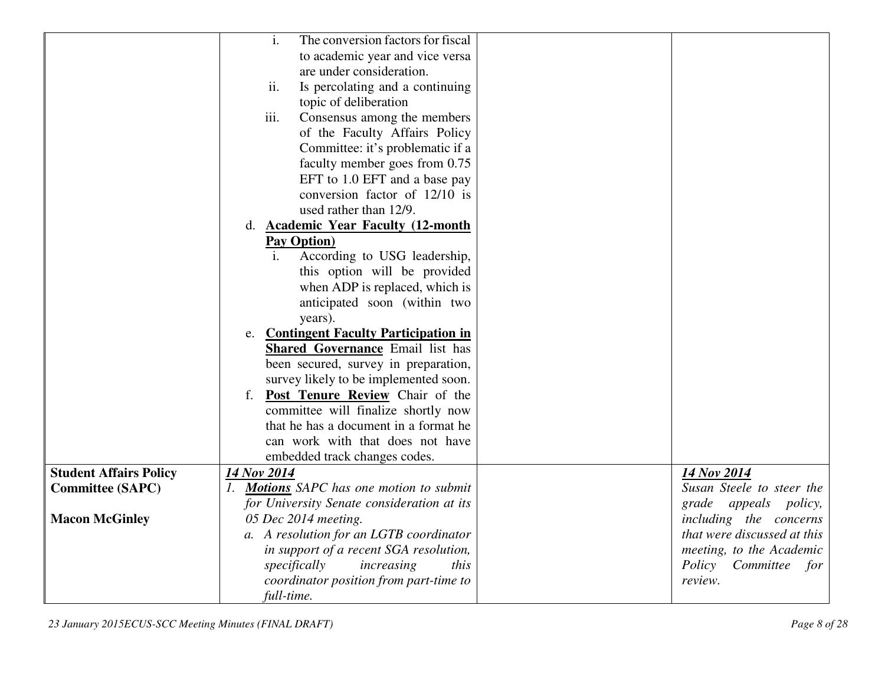|                               | i.<br>The conversion factors for fiscal          |                             |
|-------------------------------|--------------------------------------------------|-----------------------------|
|                               | to academic year and vice versa                  |                             |
|                               | are under consideration.                         |                             |
|                               | ii.<br>Is percolating and a continuing           |                             |
|                               | topic of deliberation                            |                             |
|                               | Consensus among the members<br>iii.              |                             |
|                               | of the Faculty Affairs Policy                    |                             |
|                               | Committee: it's problematic if a                 |                             |
|                               | faculty member goes from 0.75                    |                             |
|                               | EFT to 1.0 EFT and a base pay                    |                             |
|                               | conversion factor of 12/10 is                    |                             |
|                               | used rather than 12/9.                           |                             |
|                               | <b>Academic Year Faculty (12-month)</b><br>d.    |                             |
|                               | <b>Pay Option</b> )                              |                             |
|                               | According to USG leadership,<br>i.               |                             |
|                               | this option will be provided                     |                             |
|                               | when ADP is replaced, which is                   |                             |
|                               | anticipated soon (within two                     |                             |
|                               | years).                                          |                             |
|                               | <b>Contingent Faculty Participation in</b><br>e. |                             |
|                               | <b>Shared Governance Email list has</b>          |                             |
|                               | been secured, survey in preparation,             |                             |
|                               | survey likely to be implemented soon.            |                             |
|                               | Post Tenure Review Chair of the<br>f.            |                             |
|                               | committee will finalize shortly now              |                             |
|                               | that he has a document in a format he            |                             |
|                               | can work with that does not have                 |                             |
|                               | embedded track changes codes.                    |                             |
| <b>Student Affairs Policy</b> | 14 Nov 2014                                      | 14 Nov 2014                 |
| <b>Committee (SAPC)</b>       | 1. Motions SAPC has one motion to submit         | Susan Steele to steer the   |
|                               | for University Senate consideration at its       | grade appeals policy,       |
| <b>Macon McGinley</b>         | 05 Dec 2014 meeting.                             | including the concerns      |
|                               | a. A resolution for an LGTB coordinator          | that were discussed at this |
|                               | in support of a recent SGA resolution,           | meeting, to the Academic    |
|                               | specifically<br>increasing<br>this               | Policy Committee<br>for     |
|                               | coordinator position from part-time to           | review.                     |
|                               | full-time.                                       |                             |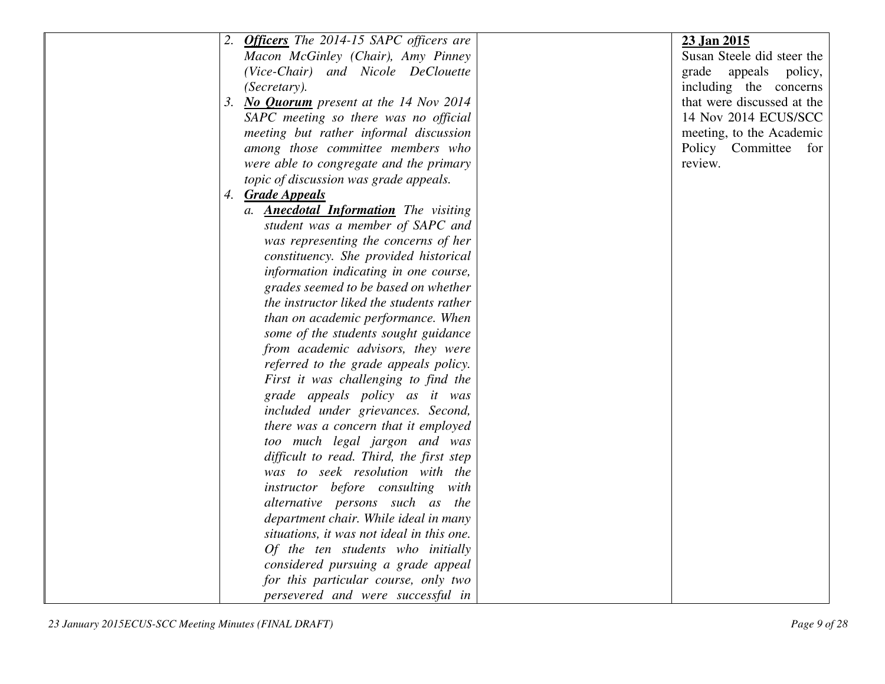| 2. Officers The 2014-15 SAPC officers are    | 23 Jan 2015                |
|----------------------------------------------|----------------------------|
| Macon McGinley (Chair), Amy Pinney           | Susan Steele did steer the |
| (Vice-Chair) and Nicole DeClouette           | grade appeals policy,      |
| (Secretary).                                 | including the concerns     |
| 3. No Quorum present at the 14 Nov 2014      | that were discussed at the |
| SAPC meeting so there was no official        | 14 Nov 2014 ECUS/SCC       |
| meeting but rather informal discussion       | meeting, to the Academic   |
| among those committee members who            | Policy Committee for       |
| were able to congregate and the primary      | review.                    |
| topic of discussion was grade appeals.       |                            |
| 4. Grade Appeals                             |                            |
| a. <b>Anecdotal Information</b> The visiting |                            |
| student was a member of SAPC and             |                            |
| was representing the concerns of her         |                            |
| constituency. She provided historical        |                            |
| information indicating in one course,        |                            |
| grades seemed to be based on whether         |                            |
| the instructor liked the students rather     |                            |
| than on academic performance. When           |                            |
| some of the students sought guidance         |                            |
| from academic advisors, they were            |                            |
| referred to the grade appeals policy.        |                            |
| First it was challenging to find the         |                            |
| grade appeals policy as it was               |                            |
| included under grievances. Second,           |                            |
| there was a concern that it employed         |                            |
| too much legal jargon and was                |                            |
| difficult to read. Third, the first step     |                            |
| was to seek resolution with the              |                            |
| instructor before consulting with            |                            |
| alternative persons such as the              |                            |
| department chair. While ideal in many        |                            |
| situations, it was not ideal in this one.    |                            |
| Of the ten students who initially            |                            |
| considered pursuing a grade appeal           |                            |
|                                              |                            |
| for this particular course, only two         |                            |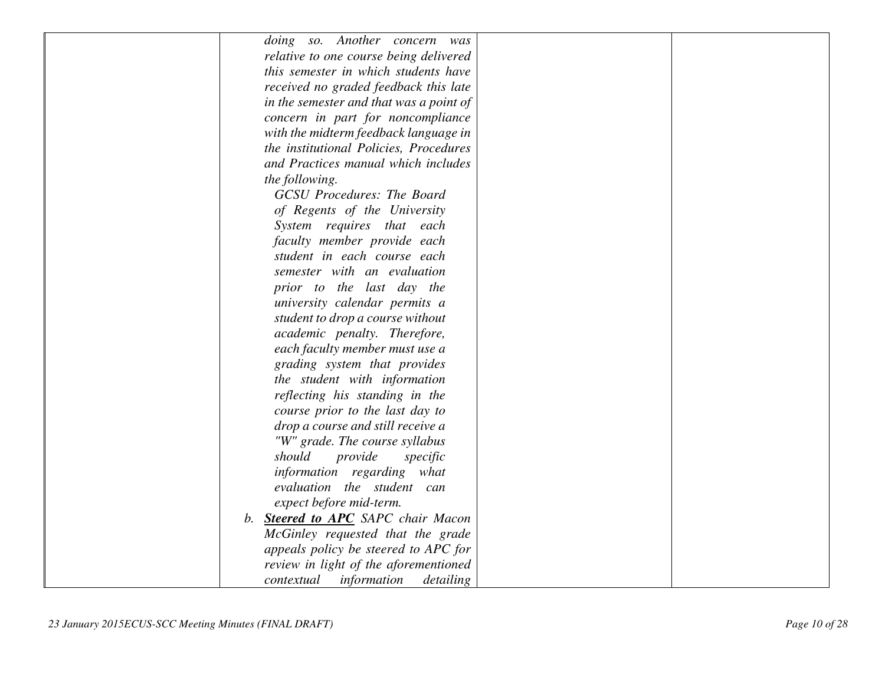|    | doing so. Another concern was           |  |
|----|-----------------------------------------|--|
|    | relative to one course being delivered  |  |
|    | this semester in which students have    |  |
|    | received no graded feedback this late   |  |
|    | in the semester and that was a point of |  |
|    | concern in part for noncompliance       |  |
|    | with the midterm feedback language in   |  |
|    | the institutional Policies, Procedures  |  |
|    | and Practices manual which includes     |  |
|    | the following.                          |  |
|    | <b>GCSU</b> Procedures: The Board       |  |
|    | of Regents of the University            |  |
|    | System requires that each               |  |
|    | faculty member provide each             |  |
|    | student in each course each             |  |
|    | semester with an evaluation             |  |
|    | prior to the last day the               |  |
|    | university calendar permits a           |  |
|    | student to drop a course without        |  |
|    | academic penalty. Therefore,            |  |
|    | each faculty member must use a          |  |
|    | grading system that provides            |  |
|    | the student with information            |  |
|    | reflecting his standing in the          |  |
|    | course prior to the last day to         |  |
|    | drop a course and still receive a       |  |
|    | "W" grade. The course syllabus          |  |
|    | should<br>provide<br>specific           |  |
|    | information regarding what              |  |
|    | evaluation the student can              |  |
|    | expect before mid-term.                 |  |
| b. | <b>Steered to APC</b> SAPC chair Macon  |  |
|    | McGinley requested that the grade       |  |
|    | appeals policy be steered to APC for    |  |
|    | review in light of the aforementioned   |  |
|    | information<br>detailing<br>contextual  |  |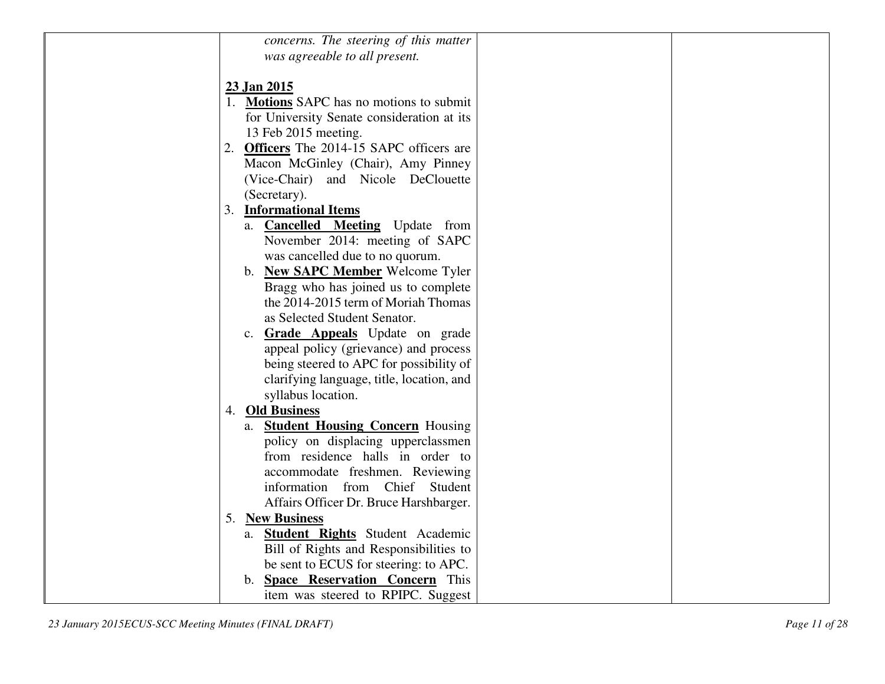| concerns. The steering of this matter                                  |
|------------------------------------------------------------------------|
| was agreeable to all present.                                          |
|                                                                        |
|                                                                        |
| 23 Jan 2015                                                            |
| 1. Motions SAPC has no motions to submit                               |
| for University Senate consideration at its                             |
| 13 Feb 2015 meeting.                                                   |
| 2. Officers The 2014-15 SAPC officers are                              |
| Macon McGinley (Chair), Amy Pinney                                     |
| (Vice-Chair) and Nicole DeClouette                                     |
| (Secretary).                                                           |
| 3. Informational Items                                                 |
| a. <b>Cancelled Meeting</b> Update from                                |
| November 2014: meeting of SAPC                                         |
| was cancelled due to no quorum.                                        |
| b. New SAPC Member Welcome Tyler                                       |
| Bragg who has joined us to complete                                    |
| the 2014-2015 term of Moriah Thomas                                    |
| as Selected Student Senator.                                           |
| c. Grade Appeals Update on grade                                       |
| appeal policy (grievance) and process                                  |
| being steered to APC for possibility of                                |
| clarifying language, title, location, and                              |
| syllabus location.                                                     |
| 4. Old Business                                                        |
| a. <b>Student Housing Concern</b> Housing                              |
|                                                                        |
| policy on displacing upperclassmen<br>from residence halls in order to |
|                                                                        |
| accommodate freshmen. Reviewing                                        |
| information from Chief Student                                         |
| Affairs Officer Dr. Bruce Harshbarger.                                 |
| 5. New Business                                                        |
| a. <b>Student Rights</b> Student Academic                              |
| Bill of Rights and Responsibilities to                                 |
| be sent to ECUS for steering: to APC.                                  |
| b. <b>Space Reservation Concern</b> This                               |
| item was steered to RPIPC. Suggest                                     |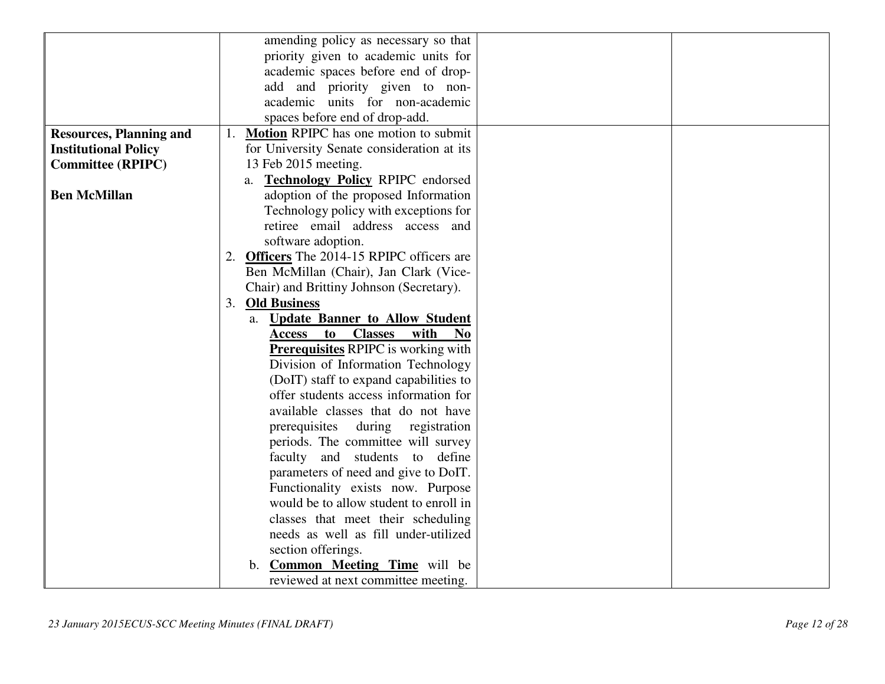|                                | amending policy as necessary so that                            |
|--------------------------------|-----------------------------------------------------------------|
|                                | priority given to academic units for                            |
|                                | academic spaces before end of drop-                             |
|                                | add and priority given to non-                                  |
|                                | academic units for non-academic                                 |
|                                | spaces before end of drop-add.                                  |
| <b>Resources, Planning and</b> | 1. Motion RPIPC has one motion to submit                        |
| <b>Institutional Policy</b>    | for University Senate consideration at its                      |
| <b>Committee (RPIPC)</b>       | 13 Feb 2015 meeting.                                            |
|                                | a. Technology Policy RPIPC endorsed                             |
| <b>Ben McMillan</b>            | adoption of the proposed Information                            |
|                                | Technology policy with exceptions for                           |
|                                | retiree email address access and                                |
|                                | software adoption.                                              |
|                                | 2. Officers The 2014-15 RPIPC officers are                      |
|                                | Ben McMillan (Chair), Jan Clark (Vice-                          |
|                                | Chair) and Brittiny Johnson (Secretary).                        |
|                                | 3. Old Business                                                 |
|                                | a. Update Banner to Allow Student                               |
|                                | <b>Classes</b><br>with<br><b>Access</b><br>to<br>N <sub>0</sub> |
|                                | <b>Prerequisites RPIPC</b> is working with                      |
|                                | Division of Information Technology                              |
|                                | (DoIT) staff to expand capabilities to                          |
|                                | offer students access information for                           |
|                                | available classes that do not have                              |
|                                | prerequisites during registration                               |
|                                | periods. The committee will survey                              |
|                                | faculty and students to define                                  |
|                                | parameters of need and give to DoIT.                            |
|                                | Functionality exists now. Purpose                               |
|                                | would be to allow student to enroll in                          |
|                                | classes that meet their scheduling                              |
|                                | needs as well as fill under-utilized                            |
|                                | section offerings.                                              |
|                                | <b>Common Meeting Time</b> will be<br>b.                        |
|                                | reviewed at next committee meeting.                             |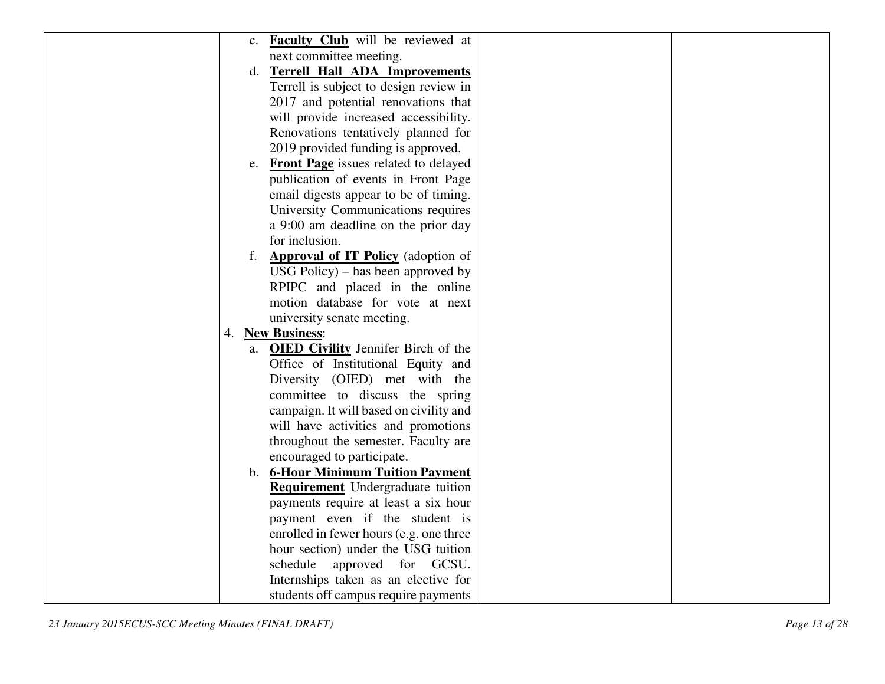| <b>Faculty Club</b> will be reviewed at<br>$c_{\cdot}$ |  |
|--------------------------------------------------------|--|
| next committee meeting.                                |  |
| d. Terrell Hall ADA Improvements                       |  |
| Terrell is subject to design review in                 |  |
| 2017 and potential renovations that                    |  |
| will provide increased accessibility.                  |  |
| Renovations tentatively planned for                    |  |
| 2019 provided funding is approved.                     |  |
| e. Front Page issues related to delayed                |  |
| publication of events in Front Page                    |  |
| email digests appear to be of timing.                  |  |
| University Communications requires                     |  |
| a 9:00 am deadline on the prior day                    |  |
| for inclusion.                                         |  |
| <b>Approval of IT Policy</b> (adoption of              |  |
| $USG$ Policy) – has been approved by                   |  |
| RPIPC and placed in the online                         |  |
| motion database for vote at next                       |  |
| university senate meeting.                             |  |
| 4. New Business:                                       |  |
| a. <b>OIED Civility</b> Jennifer Birch of the          |  |
| Office of Institutional Equity and                     |  |
| Diversity (OIED) met with the                          |  |
| committee to discuss the spring                        |  |
| campaign. It will based on civility and                |  |
| will have activities and promotions                    |  |
| throughout the semester. Faculty are                   |  |
| encouraged to participate.                             |  |
| b. 6-Hour Minimum Tuition Payment                      |  |
| <b>Requirement</b> Undergraduate tuition               |  |
| payments require at least a six hour                   |  |
| payment even if the student is                         |  |
| enrolled in fewer hours (e.g. one three                |  |
| hour section) under the USG tuition                    |  |
| schedule approved for GCSU.                            |  |
| Internships taken as an elective for                   |  |
| students off campus require payments                   |  |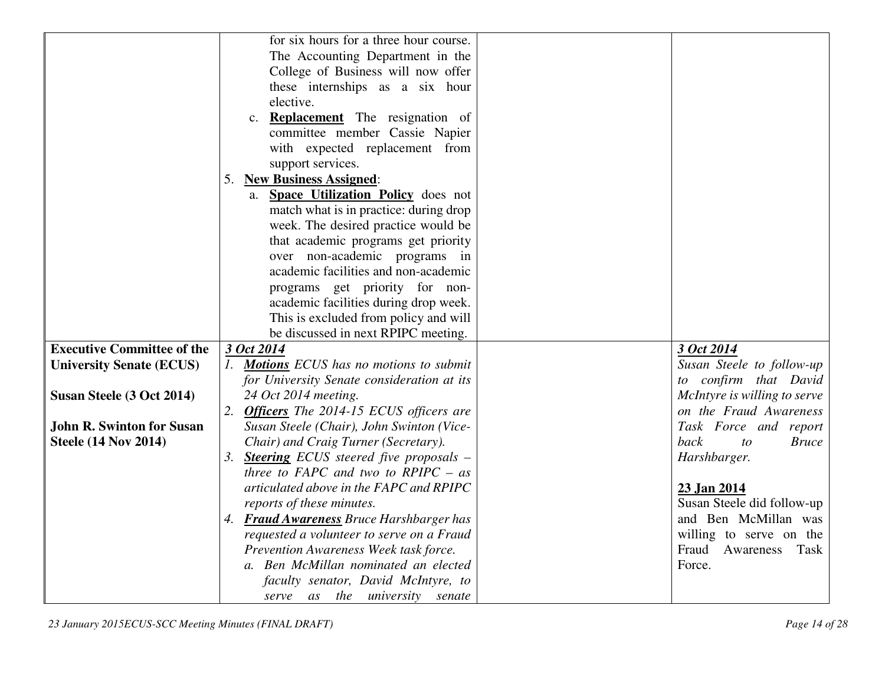|                                   | for six hours for a three hour course.               |                              |
|-----------------------------------|------------------------------------------------------|------------------------------|
|                                   | The Accounting Department in the                     |                              |
|                                   | College of Business will now offer                   |                              |
|                                   | these internships as a six hour                      |                              |
|                                   | elective.                                            |                              |
|                                   | <b>Replacement</b> The resignation of<br>$c_{\cdot}$ |                              |
|                                   | committee member Cassie Napier                       |                              |
|                                   | with expected replacement from                       |                              |
|                                   | support services.                                    |                              |
|                                   | 5. New Business Assigned:                            |                              |
|                                   | a. Space Utilization Policy does not                 |                              |
|                                   | match what is in practice: during drop               |                              |
|                                   | week. The desired practice would be                  |                              |
|                                   | that academic programs get priority                  |                              |
|                                   | over non-academic programs in                        |                              |
|                                   | academic facilities and non-academic                 |                              |
|                                   | programs get priority for non-                       |                              |
|                                   | academic facilities during drop week.                |                              |
|                                   | This is excluded from policy and will                |                              |
|                                   | be discussed in next RPIPC meeting.                  |                              |
| <b>Executive Committee of the</b> | 3 Oct 2014                                           | 3 Oct 2014                   |
| <b>University Senate (ECUS)</b>   | 1. Motions ECUS has no motions to submit             | Susan Steele to follow-up    |
|                                   | for University Senate consideration at its           | to confirm that David        |
| Susan Steele (3 Oct 2014)         | 24 Oct 2014 meeting.                                 | McIntyre is willing to serve |
|                                   | 2. Officers The 2014-15 ECUS officers are            | on the Fraud Awareness       |
| <b>John R. Swinton for Susan</b>  | Susan Steele (Chair), John Swinton (Vice-            | Task Force and report        |
| <b>Steele (14 Nov 2014)</b>       | Chair) and Craig Turner (Secretary).                 | back<br><b>Bruce</b><br>to   |
|                                   | 3. Steering ECUS steered five proposals –            | Harshbarger.                 |
|                                   | three to FAPC and two to $RPIPC - as$                |                              |
|                                   | articulated above in the FAPC and RPIPC              | 23 Jan 2014                  |
|                                   | reports of these minutes.                            | Susan Steele did follow-up   |
|                                   | 4. Fraud Awareness Bruce Harshbarger has             | and Ben McMillan was         |
|                                   | requested a volunteer to serve on a Fraud            | willing to serve on the      |
|                                   | Prevention Awareness Week task force.                | Fraud Awareness Task         |
|                                   | a. Ben McMillan nominated an elected                 | Force.                       |
|                                   | faculty senator, David McIntyre, to                  |                              |
|                                   | serve as the university senate                       |                              |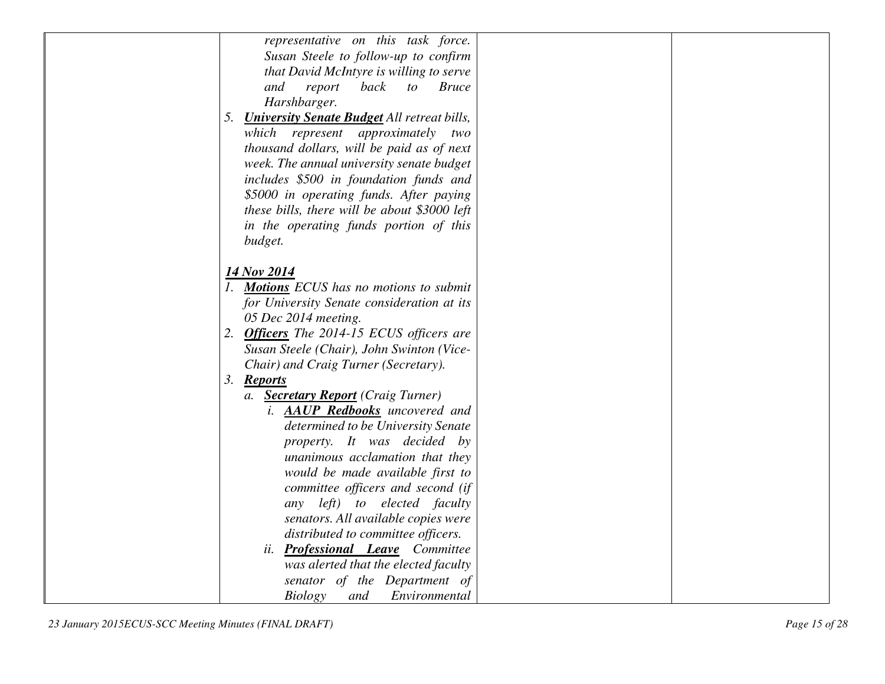| representative on this task force.                       |
|----------------------------------------------------------|
| Susan Steele to follow-up to confirm                     |
| that David McIntyre is willing to serve                  |
| report<br>back<br>and<br>$\mathfrak{c}$<br><b>Bruce</b>  |
| Harshbarger.                                             |
| <b>University Senate Budget All retreat bills,</b><br>5. |
| which represent approximately two                        |
| thousand dollars, will be paid as of next                |
| week. The annual university senate budget                |
| includes \$500 in foundation funds and                   |
| \$5000 in operating funds. After paying                  |
| these bills, there will be about \$3000 left             |
| in the operating funds portion of this                   |
| budget.                                                  |
|                                                          |
| 14 Nov 2014                                              |
| 1. Motions ECUS has no motions to submit                 |
| for University Senate consideration at its               |
| 05 Dec 2014 meeting.                                     |
| 2. Officers The 2014-15 ECUS officers are                |
| Susan Steele (Chair), John Swinton (Vice-                |
| Chair) and Craig Turner (Secretary).                     |
| 3. Reports                                               |
| a. Secretary Report (Craig Turner)                       |
| i. <b>AAUP Redbooks</b> uncovered and                    |
| determined to be University Senate                       |
| property. It was decided by                              |
| unanimous acclamation that they                          |
| would be made available first to                         |
| committee officers and second (if                        |
| any left) to elected faculty                             |
| senators. All available copies were                      |
| distributed to committee officers.                       |
| <b>Professional Leave</b> Committee<br>ii.               |
|                                                          |
| was alerted that the elected faculty                     |
| senator of the Department of                             |
| <b>Biology</b><br>Environmental<br>and                   |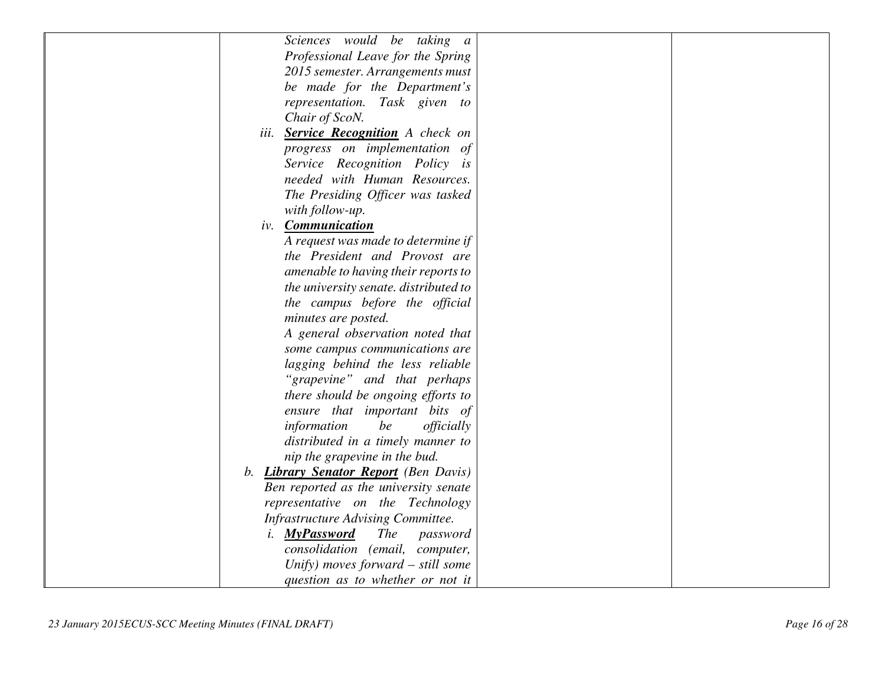| Sciences would be taking a                        |  |
|---------------------------------------------------|--|
| Professional Leave for the Spring                 |  |
| 2015 semester. Arrangements must                  |  |
| be made for the Department's                      |  |
| representation. Task given to                     |  |
| Chair of ScoN.                                    |  |
| iii. Service Recognition A check on               |  |
| progress on implementation of                     |  |
| Service Recognition Policy is                     |  |
| needed with Human Resources.                      |  |
| The Presiding Officer was tasked                  |  |
| with follow-up.                                   |  |
| iv. <b>Communication</b>                          |  |
| A request was made to determine if                |  |
| the President and Provost are                     |  |
| amenable to having their reports to               |  |
| the university senate. distributed to             |  |
| the campus before the official                    |  |
| minutes are posted.                               |  |
| A general observation noted that                  |  |
| some campus communications are                    |  |
| lagging behind the less reliable                  |  |
| "grapevine" and that perhaps                      |  |
| there should be ongoing efforts to                |  |
| ensure that important bits of                     |  |
| officially<br>information<br>be                   |  |
| distributed in a timely manner to                 |  |
| nip the grapevine in the bud.                     |  |
| b. Library Senator Report (Ben Davis)             |  |
| Ben reported as the university senate             |  |
| representative on the Technology                  |  |
| Infrastructure Advising Committee.                |  |
| <b>MyPassword</b><br><b>The</b><br>i.<br>password |  |
| consolidation (email, computer,                   |  |
| Unify) moves forward - still some                 |  |
| question as to whether or not it                  |  |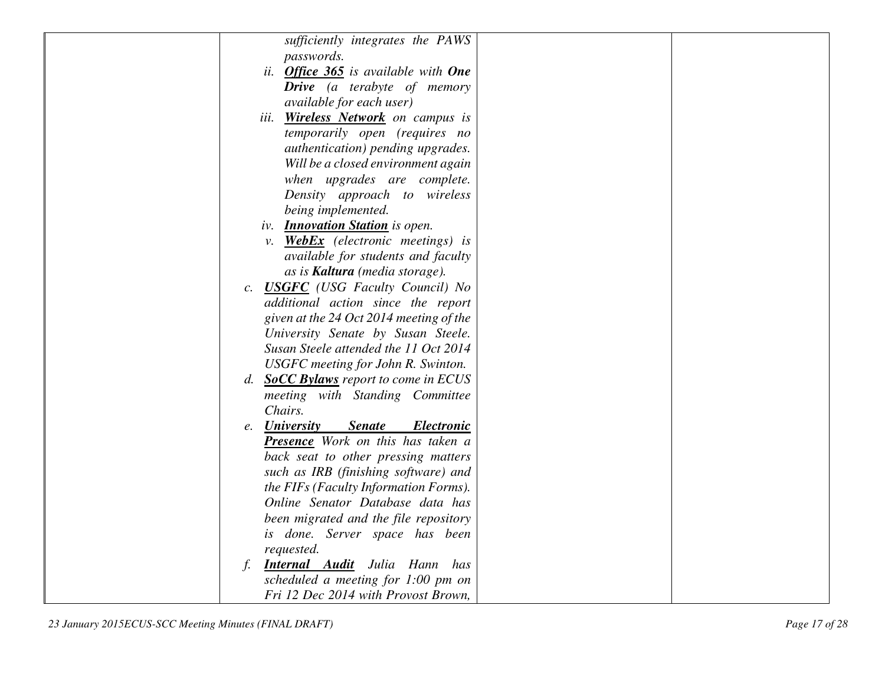|    | sufficiently integrates the PAWS                                  |
|----|-------------------------------------------------------------------|
|    | passwords.                                                        |
|    | ii. Office 365 is available with One                              |
|    | <b>Drive</b> (a terabyte of memory                                |
|    | <i>available for each user</i> )                                  |
|    | iii. Wireless Network on campus is                                |
|    | temporarily open (requires no                                     |
|    | authentication) pending upgrades.                                 |
|    | Will be a closed environment again                                |
|    | when upgrades are complete.                                       |
|    | Density approach to wireless                                      |
|    | being implemented.                                                |
|    | iv. <b>Innovation Station</b> is open.                            |
|    | v. <b>WebEx</b> (electronic meetings) is                          |
|    | available for students and faculty                                |
|    | as is <b>Kaltura</b> (media storage).                             |
|    | c. <b>USGFC</b> (USG Faculty Council) No                          |
|    | additional action since the report                                |
|    | given at the 24 Oct 2014 meeting of the                           |
|    | University Senate by Susan Steele.                                |
|    | Susan Steele attended the 11 Oct 2014                             |
|    | USGFC meeting for John R. Swinton.                                |
|    | d. SoCC Bylaws report to come in ECUS                             |
|    | meeting with Standing Committee                                   |
|    | Chairs.                                                           |
|    | <b>Senate</b><br>e. <b>University</b><br><i><b>Electronic</b></i> |
|    | Presence Work on this has taken a                                 |
|    | back seat to other pressing matters                               |
|    | such as IRB (finishing software) and                              |
|    | the FIFs (Faculty Information Forms).                             |
|    | Online Senator Database data has                                  |
|    | been migrated and the file repository                             |
|    | is done. Server space has been                                    |
|    | requested.                                                        |
| f. | <b>Internal Audit</b> Julia Hann has                              |
|    | scheduled a meeting for 1:00 pm on                                |
|    | Fri 12 Dec 2014 with Provost Brown,                               |
|    |                                                                   |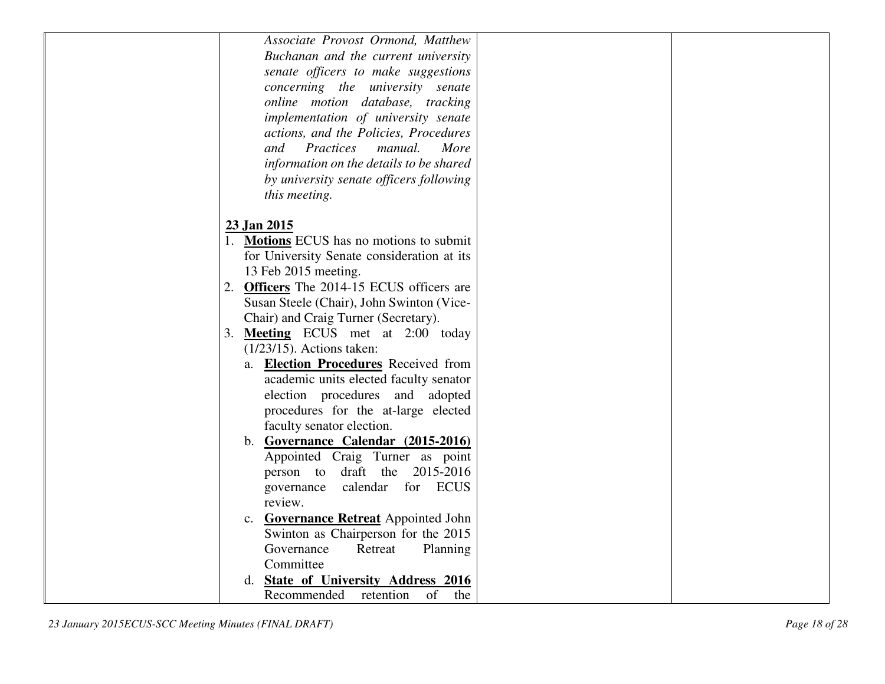|                                                                   | Associate Provost Ormond, Matthew          |
|-------------------------------------------------------------------|--------------------------------------------|
|                                                                   | Buchanan and the current university        |
|                                                                   | senate officers to make suggestions        |
|                                                                   | concerning the university senate           |
|                                                                   | online motion database, tracking           |
|                                                                   | implementation of university senate        |
|                                                                   | actions, and the Policies, Procedures      |
| Practices<br>and                                                  | manual.<br>More                            |
|                                                                   | information on the details to be shared    |
|                                                                   | by university senate officers following    |
| this meeting.                                                     |                                            |
|                                                                   |                                            |
| 23 Jan 2015                                                       |                                            |
| 1. Motions ECUS has no motions to submit                          |                                            |
|                                                                   | for University Senate consideration at its |
| 13 Feb 2015 meeting.                                              |                                            |
| 2. Officers The 2014-15 ECUS officers are                         |                                            |
|                                                                   | Susan Steele (Chair), John Swinton (Vice-  |
|                                                                   |                                            |
| Chair) and Craig Turner (Secretary).                              |                                            |
| 3. Meeting ECUS met at 2:00 today<br>$(1/23/15)$ . Actions taken: |                                            |
|                                                                   |                                            |
|                                                                   | a. Election Procedures Received from       |
|                                                                   | academic units elected faculty senator     |
|                                                                   | election procedures and adopted            |
|                                                                   | procedures for the at-large elected        |
| faculty senator election.                                         |                                            |
|                                                                   | b. Governance Calendar (2015-2016)         |
|                                                                   | Appointed Craig Turner as point            |
| person to                                                         | 2015-2016<br>draft the                     |
| governance                                                        | calendar for ECUS                          |
| review.                                                           |                                            |
|                                                                   | c. Governance Retreat Appointed John       |
|                                                                   | Swinton as Chairperson for the 2015        |
| Governance                                                        | Retreat<br>Planning                        |
| Committee                                                         |                                            |
|                                                                   | d. State of University Address 2016        |
| Recommended                                                       | retention<br>of<br>the                     |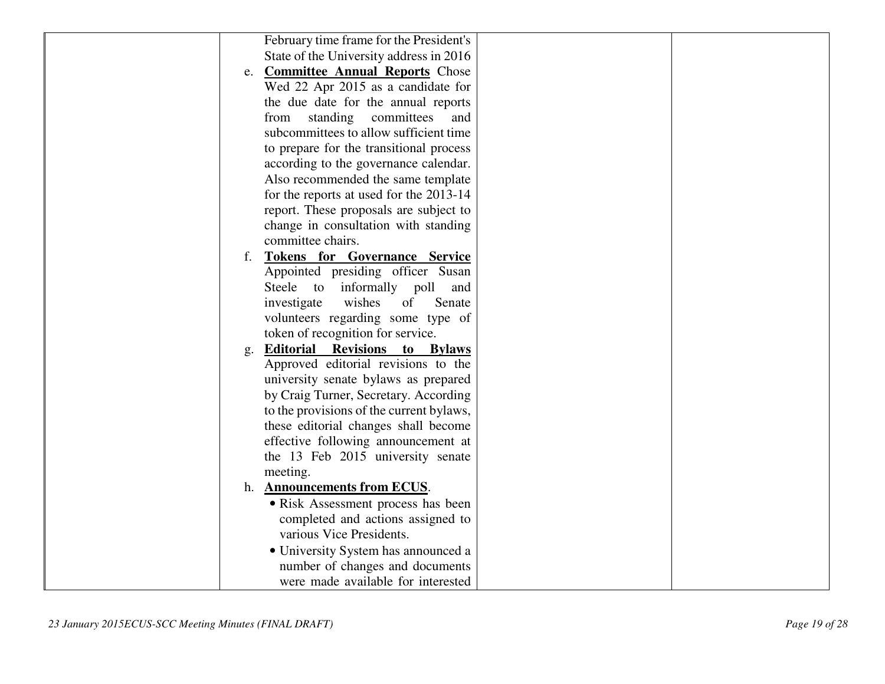| February time frame for the President's       |  |
|-----------------------------------------------|--|
| State of the University address in 2016       |  |
| e. <b>Committee Annual Reports</b> Chose      |  |
| Wed 22 Apr 2015 as a candidate for            |  |
| the due date for the annual reports           |  |
| standing committees<br>from<br>and            |  |
| subcommittees to allow sufficient time        |  |
| to prepare for the transitional process       |  |
| according to the governance calendar.         |  |
| Also recommended the same template            |  |
| for the reports at used for the 2013-14       |  |
| report. These proposals are subject to        |  |
| change in consultation with standing          |  |
| committee chairs.                             |  |
| <b>Tokens for Governance Service</b><br>f.    |  |
| Appointed presiding officer Susan             |  |
| informally poll<br>Steele to<br>and           |  |
| wishes<br>investigate<br>of<br>Senate         |  |
| volunteers regarding some type of             |  |
| token of recognition for service.             |  |
| <b>Editorial Revisions</b><br>to Bylaws<br>g. |  |
| Approved editorial revisions to the           |  |
| university senate bylaws as prepared          |  |
| by Craig Turner, Secretary. According         |  |
| to the provisions of the current bylaws,      |  |
| these editorial changes shall become          |  |
| effective following announcement at           |  |
| the 13 Feb 2015 university senate             |  |
| meeting.                                      |  |
| h. Announcements from ECUS.                   |  |
| • Risk Assessment process has been            |  |
| completed and actions assigned to             |  |
| various Vice Presidents.                      |  |
| • University System has announced a           |  |
| number of changes and documents               |  |
| were made available for interested            |  |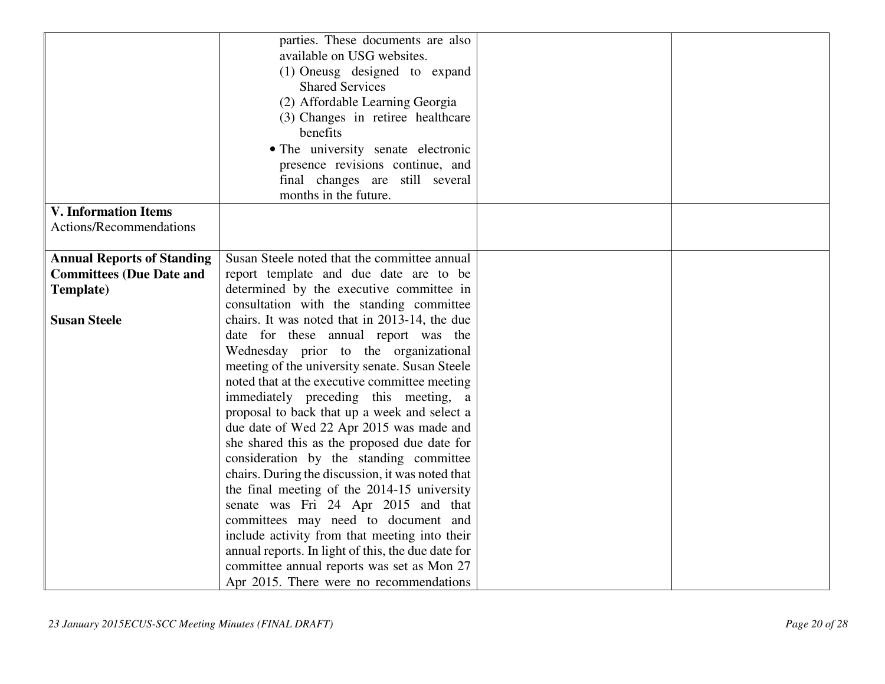| Susan Steele noted that the committee annual       |                                                                                                                                                                                                                                                                                                                                                                                                                                                                                                                                                                                                                                                                                                                                                                                                                       |  |
|----------------------------------------------------|-----------------------------------------------------------------------------------------------------------------------------------------------------------------------------------------------------------------------------------------------------------------------------------------------------------------------------------------------------------------------------------------------------------------------------------------------------------------------------------------------------------------------------------------------------------------------------------------------------------------------------------------------------------------------------------------------------------------------------------------------------------------------------------------------------------------------|--|
|                                                    |                                                                                                                                                                                                                                                                                                                                                                                                                                                                                                                                                                                                                                                                                                                                                                                                                       |  |
|                                                    |                                                                                                                                                                                                                                                                                                                                                                                                                                                                                                                                                                                                                                                                                                                                                                                                                       |  |
|                                                    |                                                                                                                                                                                                                                                                                                                                                                                                                                                                                                                                                                                                                                                                                                                                                                                                                       |  |
|                                                    |                                                                                                                                                                                                                                                                                                                                                                                                                                                                                                                                                                                                                                                                                                                                                                                                                       |  |
| date for these annual report was the               |                                                                                                                                                                                                                                                                                                                                                                                                                                                                                                                                                                                                                                                                                                                                                                                                                       |  |
|                                                    |                                                                                                                                                                                                                                                                                                                                                                                                                                                                                                                                                                                                                                                                                                                                                                                                                       |  |
| meeting of the university senate. Susan Steele     |                                                                                                                                                                                                                                                                                                                                                                                                                                                                                                                                                                                                                                                                                                                                                                                                                       |  |
| noted that at the executive committee meeting      |                                                                                                                                                                                                                                                                                                                                                                                                                                                                                                                                                                                                                                                                                                                                                                                                                       |  |
| immediately preceding this meeting, a              |                                                                                                                                                                                                                                                                                                                                                                                                                                                                                                                                                                                                                                                                                                                                                                                                                       |  |
|                                                    |                                                                                                                                                                                                                                                                                                                                                                                                                                                                                                                                                                                                                                                                                                                                                                                                                       |  |
| due date of Wed 22 Apr 2015 was made and           |                                                                                                                                                                                                                                                                                                                                                                                                                                                                                                                                                                                                                                                                                                                                                                                                                       |  |
| she shared this as the proposed due date for       |                                                                                                                                                                                                                                                                                                                                                                                                                                                                                                                                                                                                                                                                                                                                                                                                                       |  |
|                                                    |                                                                                                                                                                                                                                                                                                                                                                                                                                                                                                                                                                                                                                                                                                                                                                                                                       |  |
|                                                    |                                                                                                                                                                                                                                                                                                                                                                                                                                                                                                                                                                                                                                                                                                                                                                                                                       |  |
|                                                    |                                                                                                                                                                                                                                                                                                                                                                                                                                                                                                                                                                                                                                                                                                                                                                                                                       |  |
|                                                    |                                                                                                                                                                                                                                                                                                                                                                                                                                                                                                                                                                                                                                                                                                                                                                                                                       |  |
| committees may need to document and                |                                                                                                                                                                                                                                                                                                                                                                                                                                                                                                                                                                                                                                                                                                                                                                                                                       |  |
| include activity from that meeting into their      |                                                                                                                                                                                                                                                                                                                                                                                                                                                                                                                                                                                                                                                                                                                                                                                                                       |  |
| annual reports. In light of this, the due date for |                                                                                                                                                                                                                                                                                                                                                                                                                                                                                                                                                                                                                                                                                                                                                                                                                       |  |
| committee annual reports was set as Mon 27         |                                                                                                                                                                                                                                                                                                                                                                                                                                                                                                                                                                                                                                                                                                                                                                                                                       |  |
| Apr 2015. There were no recommendations            |                                                                                                                                                                                                                                                                                                                                                                                                                                                                                                                                                                                                                                                                                                                                                                                                                       |  |
|                                                    | parties. These documents are also<br>available on USG websites.<br>(1) Oneusg designed to expand<br><b>Shared Services</b><br>(2) Affordable Learning Georgia<br>(3) Changes in retiree healthcare<br>benefits<br>• The university senate electronic<br>presence revisions continue, and<br>final changes are still several<br>months in the future.<br>report template and due date are to be<br>determined by the executive committee in<br>consultation with the standing committee<br>chairs. It was noted that in 2013-14, the due<br>Wednesday prior to the organizational<br>proposal to back that up a week and select a<br>consideration by the standing committee<br>chairs. During the discussion, it was noted that<br>the final meeting of the 2014-15 university<br>senate was Fri 24 Apr 2015 and that |  |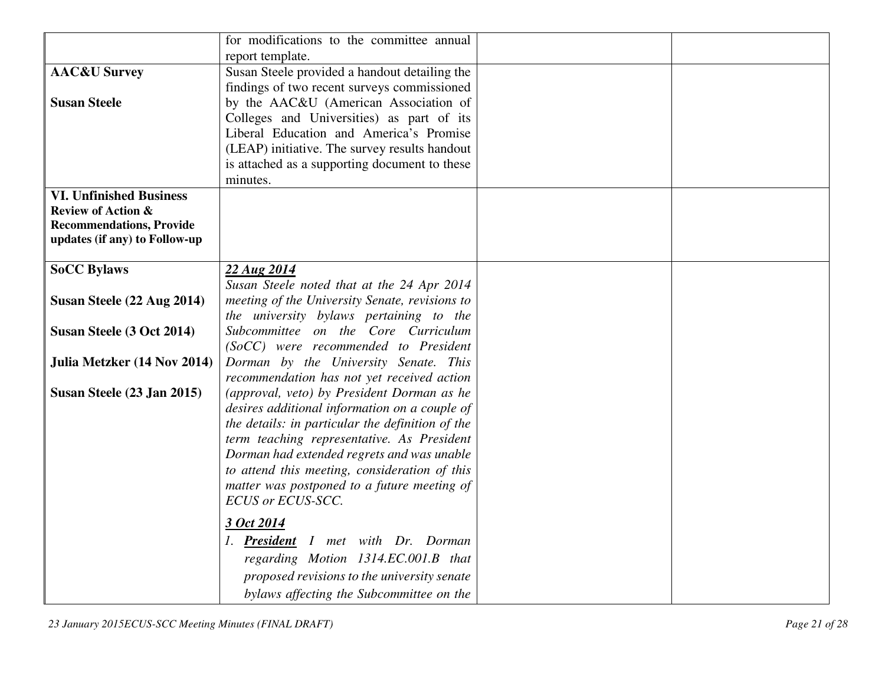|                                 | for modifications to the committee annual        |  |
|---------------------------------|--------------------------------------------------|--|
|                                 | report template.                                 |  |
| <b>AAC&amp;U Survey</b>         | Susan Steele provided a handout detailing the    |  |
|                                 | findings of two recent surveys commissioned      |  |
| <b>Susan Steele</b>             | by the AAC&U (American Association of            |  |
|                                 | Colleges and Universities) as part of its        |  |
|                                 | Liberal Education and America's Promise          |  |
|                                 | (LEAP) initiative. The survey results handout    |  |
|                                 | is attached as a supporting document to these    |  |
|                                 | minutes.                                         |  |
| <b>VI. Unfinished Business</b>  |                                                  |  |
| <b>Review of Action &amp;</b>   |                                                  |  |
| <b>Recommendations, Provide</b> |                                                  |  |
| updates (if any) to Follow-up   |                                                  |  |
|                                 |                                                  |  |
| <b>SoCC Bylaws</b>              | 22 Aug 2014                                      |  |
|                                 | Susan Steele noted that at the 24 Apr 2014       |  |
| Susan Steele (22 Aug 2014)      | meeting of the University Senate, revisions to   |  |
|                                 | the university bylaws pertaining to the          |  |
| Susan Steele (3 Oct 2014)       | Subcommittee on the Core Curriculum              |  |
|                                 | (SoCC) were recommended to President             |  |
| Julia Metzker (14 Nov 2014)     | Dorman by the University Senate. This            |  |
|                                 | recommendation has not yet received action       |  |
| Susan Steele (23 Jan 2015)      | (approval, veto) by President Dorman as he       |  |
|                                 | desires additional information on a couple of    |  |
|                                 | the details: in particular the definition of the |  |
|                                 | term teaching representative. As President       |  |
|                                 | Dorman had extended regrets and was unable       |  |
|                                 | to attend this meeting, consideration of this    |  |
|                                 | matter was postponed to a future meeting of      |  |
|                                 | ECUS or ECUS-SCC.                                |  |
|                                 | 3 Oct 2014                                       |  |
|                                 | 1. President I met with Dr. Dorman               |  |
|                                 | regarding Motion 1314.EC.001.B that              |  |
|                                 |                                                  |  |
|                                 | proposed revisions to the university senate      |  |
|                                 | bylaws affecting the Subcommittee on the         |  |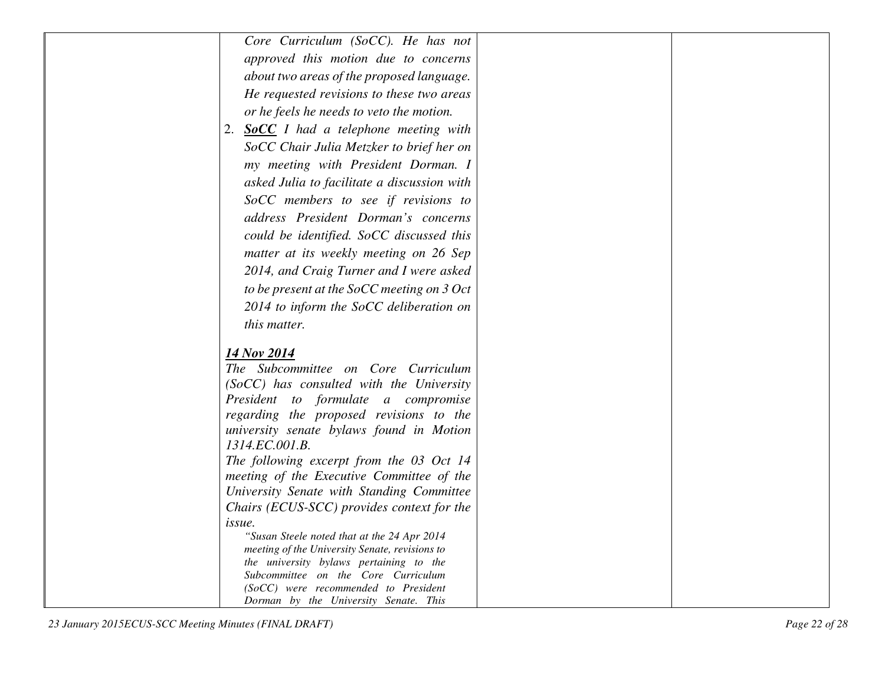| Core Curriculum (SoCC). He has not                                                    |  |
|---------------------------------------------------------------------------------------|--|
| approved this motion due to concerns                                                  |  |
| about two areas of the proposed language.                                             |  |
| He requested revisions to these two areas                                             |  |
| or he feels he needs to veto the motion.                                              |  |
| <b>SoCC</b> I had a telephone meeting with<br>2.                                      |  |
| SoCC Chair Julia Metzker to brief her on                                              |  |
| my meeting with President Dorman. I                                                   |  |
| asked Julia to facilitate a discussion with                                           |  |
| SoCC members to see if revisions to                                                   |  |
| address President Dorman's concerns                                                   |  |
| could be identified. SoCC discussed this                                              |  |
| matter at its weekly meeting on 26 Sep                                                |  |
|                                                                                       |  |
| 2014, and Craig Turner and I were asked                                               |  |
| to be present at the SoCC meeting on 3 Oct                                            |  |
| 2014 to inform the SoCC deliberation on                                               |  |
| this matter.                                                                          |  |
| 14 Nov 2014                                                                           |  |
| The Subcommittee on Core Curriculum                                                   |  |
| (SoCC) has consulted with the University                                              |  |
| President to formulate a compromise                                                   |  |
| regarding the proposed revisions to the                                               |  |
| university senate bylaws found in Motion                                              |  |
| 1314.EC.001.B.                                                                        |  |
| The following excerpt from the 03 Oct 14<br>meeting of the Executive Committee of the |  |
| University Senate with Standing Committee                                             |  |
| Chairs (ECUS-SCC) provides context for the                                            |  |
| issue.                                                                                |  |
| "Susan Steele noted that at the 24 Apr 2014                                           |  |
| meeting of the University Senate, revisions to                                        |  |
| the university bylaws pertaining to the<br>Subcommittee on the Core Curriculum        |  |
| (SoCC) were recommended to President                                                  |  |
| Dorman by the University Senate. This                                                 |  |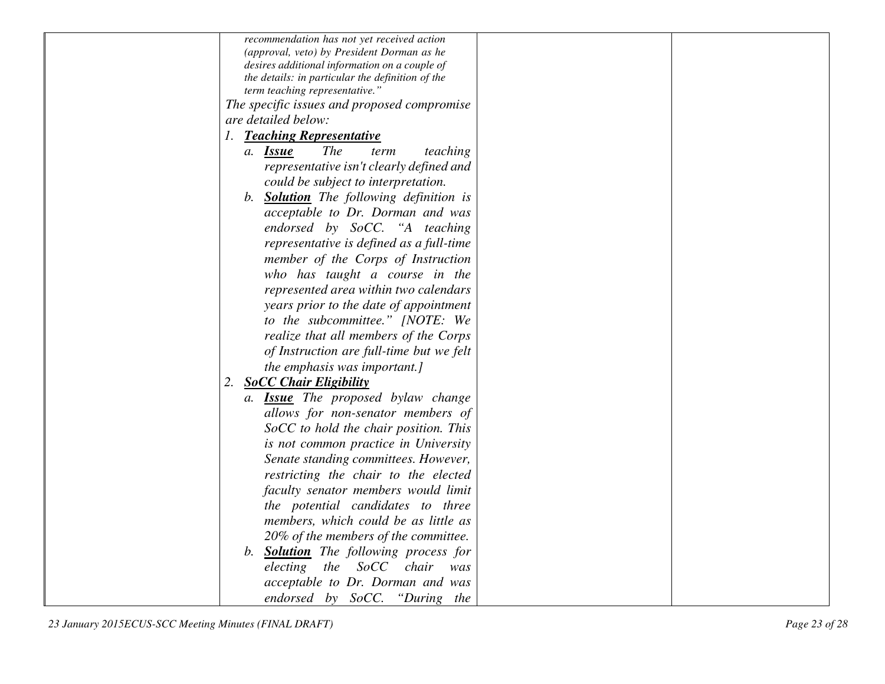| recommendation has not yet received action        |
|---------------------------------------------------|
| (approval, veto) by President Dorman as he        |
| desires additional information on a couple of     |
| the details: in particular the definition of the  |
| term teaching representative."                    |
| The specific issues and proposed compromise       |
| are detailed below:                               |
| 1. Teaching Representative                        |
| <i>The</i><br>teaching<br>a. <b>Issue</b><br>term |
| representative isn't clearly defined and          |
| could be subject to interpretation.               |
| b. <b>Solution</b> The following definition is    |
| acceptable to Dr. Dorman and was                  |
| endorsed by SoCC. "A teaching                     |
| representative is defined as a full-time          |
| member of the Corps of Instruction                |
| who has taught a course in the                    |
| represented area within two calendars             |
| years prior to the date of appointment            |
| to the subcommittee." [NOTE: We                   |
| realize that all members of the Corps             |
| of Instruction are full-time but we felt          |
| the emphasis was important.]                      |
| 2.<br><b>SoCC Chair Eligibility</b>               |
| a. <b>Issue</b> The proposed bylaw change         |
| allows for non-senator members of                 |
| SoCC to hold the chair position. This             |
| is not common practice in University              |
| Senate standing committees. However,              |
| restricting the chair to the elected              |
| faculty senator members would limit               |
| the potential candidates to three                 |
| members, which could be as little as              |
| 20% of the members of the committee.              |
| b. <b>Solution</b> The following process for      |
| electing the SoCC<br>chair<br>was                 |
| acceptable to Dr. Dorman and was                  |
| endorsed by SoCC. "During the                     |
|                                                   |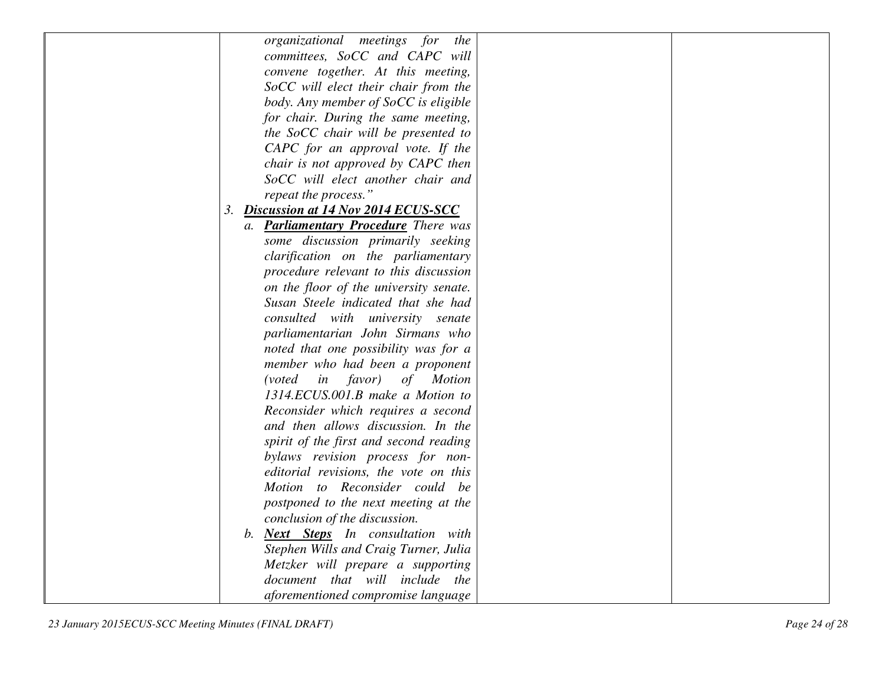| organizational meetings for<br>the          |  |
|---------------------------------------------|--|
| committees, SoCC and CAPC will              |  |
| convene together. At this meeting,          |  |
| SoCC will elect their chair from the        |  |
| body. Any member of SoCC is eligible        |  |
| for chair. During the same meeting,         |  |
| the SoCC chair will be presented to         |  |
| CAPC for an approval vote. If the           |  |
| chair is not approved by CAPC then          |  |
| SoCC will elect another chair and           |  |
| repeat the process."                        |  |
| 3. Discussion at 14 Nov 2014 ECUS-SCC       |  |
| a. Parliamentary Procedure There was        |  |
| some discussion primarily seeking           |  |
| clarification on the parliamentary          |  |
| procedure relevant to this discussion       |  |
| on the floor of the university senate.      |  |
| Susan Steele indicated that she had         |  |
| consulted with university senate            |  |
| parliamentarian John Sirmans who            |  |
| noted that one possibility was for a        |  |
| member who had been a proponent             |  |
| favor)<br><i>(voted)</i><br>in<br>of Motion |  |
| 1314.ECUS.001.B make a Motion to            |  |
| Reconsider which requires a second          |  |
| and then allows discussion. In the          |  |
| spirit of the first and second reading      |  |
| bylaws revision process for non-            |  |
| editorial revisions, the vote on this       |  |
| Motion to Reconsider could be               |  |
| postponed to the next meeting at the        |  |
| conclusion of the discussion.               |  |
| b. <b>Next Steps</b> In consultation with   |  |
| Stephen Wills and Craig Turner, Julia       |  |
| Metzker will prepare a supporting           |  |
| document that will include the              |  |
| aforementioned compromise language          |  |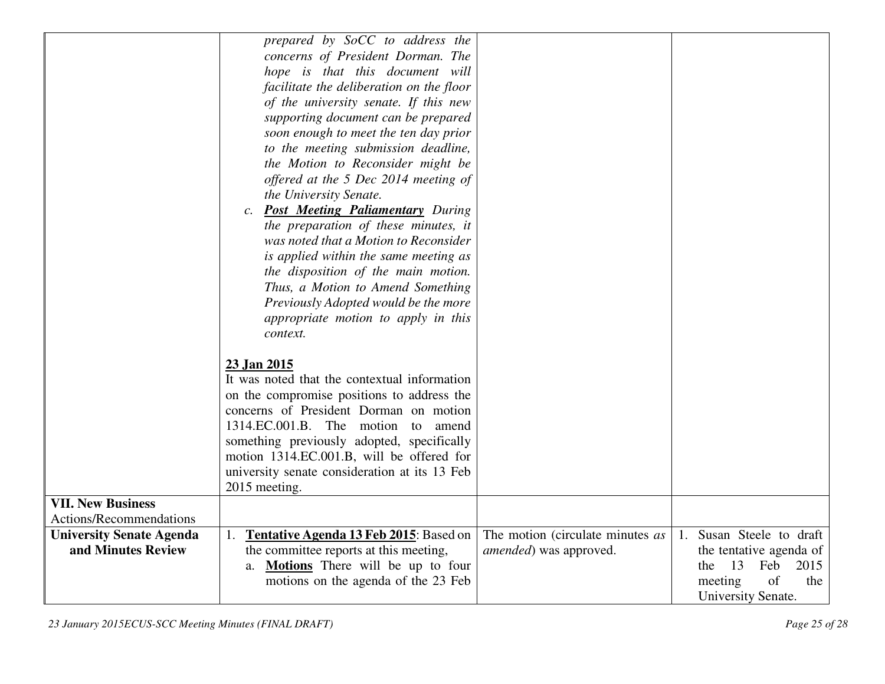|                                 | prepared by SoCC to address the                            |                                  |                                      |
|---------------------------------|------------------------------------------------------------|----------------------------------|--------------------------------------|
|                                 | concerns of President Dorman. The                          |                                  |                                      |
|                                 | hope is that this document will                            |                                  |                                      |
|                                 | facilitate the deliberation on the floor                   |                                  |                                      |
|                                 | of the university senate. If this new                      |                                  |                                      |
|                                 | supporting document can be prepared                        |                                  |                                      |
|                                 | soon enough to meet the ten day prior                      |                                  |                                      |
|                                 | to the meeting submission deadline,                        |                                  |                                      |
|                                 | the Motion to Reconsider might be                          |                                  |                                      |
|                                 | offered at the 5 Dec 2014 meeting of                       |                                  |                                      |
|                                 | the University Senate.                                     |                                  |                                      |
|                                 | <b>Post Meeting Paliamentary During</b><br>$\mathcal{C}$ . |                                  |                                      |
|                                 | the preparation of these minutes, it                       |                                  |                                      |
|                                 | was noted that a Motion to Reconsider                      |                                  |                                      |
|                                 | is applied within the same meeting as                      |                                  |                                      |
|                                 | the disposition of the main motion.                        |                                  |                                      |
|                                 | Thus, a Motion to Amend Something                          |                                  |                                      |
|                                 | Previously Adopted would be the more                       |                                  |                                      |
|                                 | appropriate motion to apply in this                        |                                  |                                      |
|                                 | context.                                                   |                                  |                                      |
|                                 |                                                            |                                  |                                      |
|                                 | 23 Jan 2015                                                |                                  |                                      |
|                                 | It was noted that the contextual information               |                                  |                                      |
|                                 | on the compromise positions to address the                 |                                  |                                      |
|                                 | concerns of President Dorman on motion                     |                                  |                                      |
|                                 | 1314.EC.001.B. The motion<br>to amend                      |                                  |                                      |
|                                 | something previously adopted, specifically                 |                                  |                                      |
|                                 | motion 1314.EC.001.B, will be offered for                  |                                  |                                      |
|                                 | university senate consideration at its 13 Feb              |                                  |                                      |
|                                 | 2015 meeting.                                              |                                  |                                      |
| <b>VII. New Business</b>        |                                                            |                                  |                                      |
| Actions/Recommendations         |                                                            |                                  |                                      |
| <b>University Senate Agenda</b> | Tentative Agenda 13 Feb 2015: Based on<br>1.               | The motion (circulate minutes as | Susan Steele to draft<br>$1_{\cdot}$ |
| and Minutes Review              | the committee reports at this meeting,                     | amended) was approved.           | the tentative agenda of              |
|                                 | a. Motions There will be up to four                        |                                  | 13<br>2015<br>Feb<br>the             |
|                                 | motions on the agenda of the 23 Feb                        |                                  | of<br>meeting<br>the                 |
|                                 |                                                            |                                  | University Senate.                   |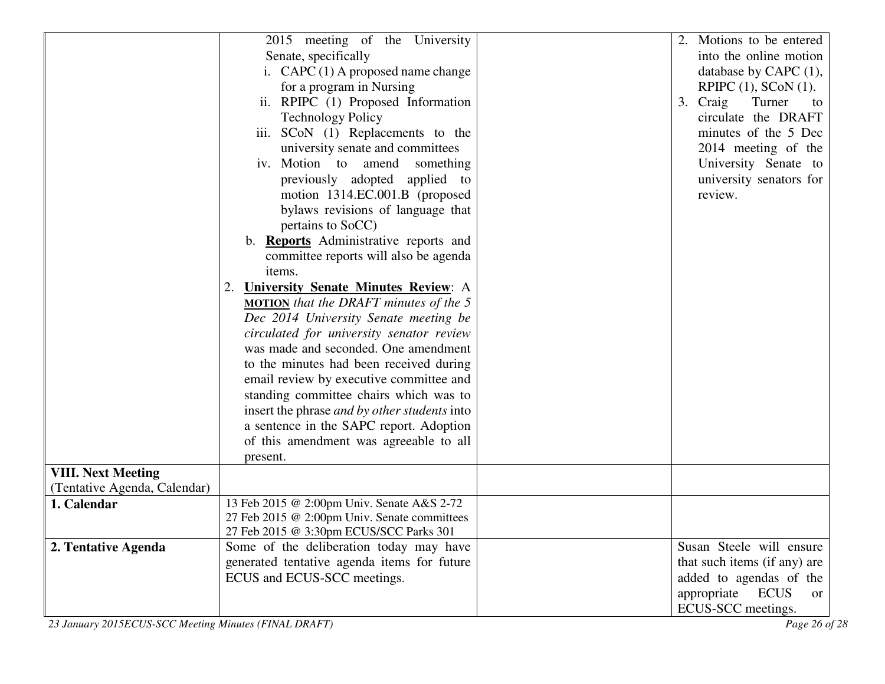|                              | 2015 meeting of the University                      |                             | 2. Motions to be entered     |
|------------------------------|-----------------------------------------------------|-----------------------------|------------------------------|
|                              | Senate, specifically                                |                             | into the online motion       |
|                              | i. $CAPC(1)$ A proposed name change                 |                             | database by CAPC $(1)$ ,     |
|                              | for a program in Nursing                            |                             | RPIPC $(1)$ , SCoN $(1)$ .   |
|                              | ii. RPIPC (1) Proposed Information                  | Craig<br>3.<br>Turner<br>to |                              |
|                              | <b>Technology Policy</b>                            |                             | circulate the DRAFT          |
|                              | iii. SCoN (1) Replacements to the                   |                             | minutes of the 5 Dec         |
|                              | university senate and committees                    |                             | 2014 meeting of the          |
|                              | iv. Motion to amend something                       |                             | University Senate to         |
|                              | previously adopted applied to                       |                             | university senators for      |
|                              | motion 1314.EC.001.B (proposed                      |                             | review.                      |
|                              | bylaws revisions of language that                   |                             |                              |
|                              | pertains to SoCC)                                   |                             |                              |
|                              | b. Reports Administrative reports and               |                             |                              |
|                              | committee reports will also be agenda               |                             |                              |
|                              | items.                                              |                             |                              |
|                              | <b>University Senate Minutes Review: A</b>          |                             |                              |
|                              | <b>MOTION</b> that the DRAFT minutes of the $5$     |                             |                              |
|                              | Dec 2014 University Senate meeting be               |                             |                              |
|                              | circulated for university senator review            |                             |                              |
|                              | was made and seconded. One amendment                |                             |                              |
|                              | to the minutes had been received during             |                             |                              |
|                              | email review by executive committee and             |                             |                              |
|                              | standing committee chairs which was to              |                             |                              |
|                              | insert the phrase <i>and by other students</i> into |                             |                              |
|                              | a sentence in the SAPC report. Adoption             |                             |                              |
|                              | of this amendment was agreeable to all              |                             |                              |
|                              | present.                                            |                             |                              |
| <b>VIII. Next Meeting</b>    |                                                     |                             |                              |
| (Tentative Agenda, Calendar) |                                                     |                             |                              |
| 1. Calendar                  | 13 Feb 2015 @ 2:00pm Univ. Senate A&S 2-72          |                             |                              |
|                              | 27 Feb 2015 @ 2:00pm Univ. Senate committees        |                             |                              |
|                              | 27 Feb 2015 @ 3:30pm ECUS/SCC Parks 301             |                             |                              |
| 2. Tentative Agenda          | Some of the deliberation today may have             |                             | Susan Steele will ensure     |
|                              | generated tentative agenda items for future         |                             | that such items (if any) are |
|                              | ECUS and ECUS-SCC meetings.                         |                             | added to agendas of the      |
|                              |                                                     |                             | appropriate ECUS<br>or       |
|                              |                                                     |                             | ECUS-SCC meetings.           |

*23 January 2015ECUS-SCC Meeting Minutes (FINAL DRAFT) Page 26 of 28*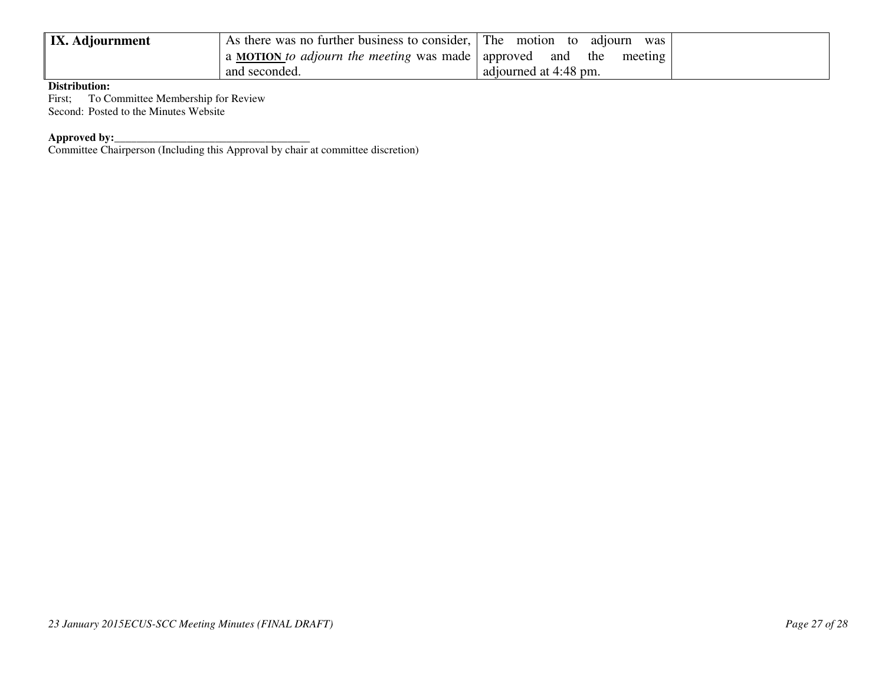| <b>IX.</b> Adjournment | As there was no further business to consider, The motion | was<br>to<br>adıourn  |
|------------------------|----------------------------------------------------------|-----------------------|
|                        | a MOTION to adjourn the meeting was made   approved      | the<br>meeting<br>and |
|                        | and seconded.                                            | adjourned at 4:48 pm. |

### **Distribution:**

 First; To Committee Membership for Review Second: Posted to the Minutes Website

**Approved by:**<br>Committee Chairperson (Including this Approval by chair at committee discretion)